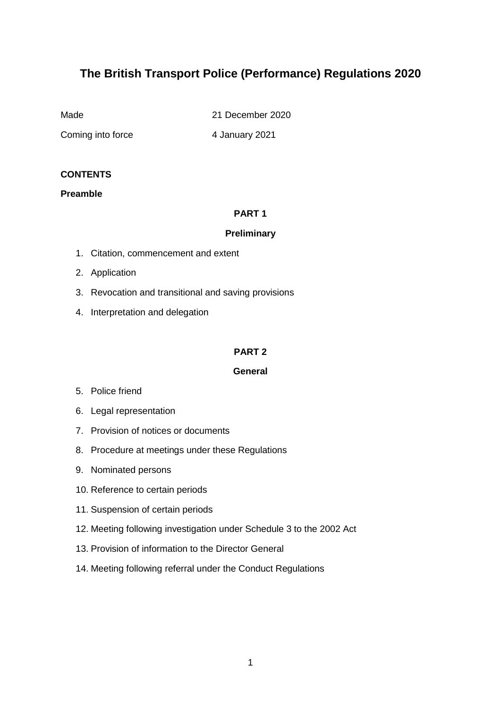# **The British Transport Police (Performance) Regulations 2020**

Made 21 December 2020

Coming into force 4 January 2021

#### **CONTENTS**

#### **Preamble**

#### **PART 1**

#### **Preliminary**

- 1. Citation, commencement and extent
- 2. Application
- 3. Revocation and transitional and saving provisions
- 4. Interpretation and delegation

#### **PART 2**

#### **General**

- 5. Police friend
- 6. Legal representation
- 7. Provision of notices or documents
- 8. Procedure at meetings under these Regulations
- 9. Nominated persons
- 10. Reference to certain periods
- 11. Suspension of certain periods
- 12. Meeting following investigation under Schedule 3 to the 2002 Act
- 13. Provision of information to the Director General
- 14. Meeting following referral under the Conduct Regulations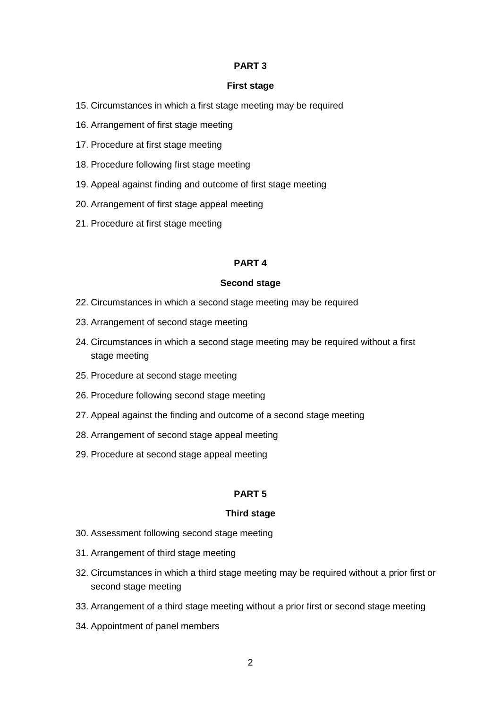#### **PART 3**

#### **First stage**

- 15. Circumstances in which a first stage meeting may be required
- 16. Arrangement of first stage meeting
- 17. Procedure at first stage meeting
- 18. Procedure following first stage meeting
- 19. Appeal against finding and outcome of first stage meeting
- 20. Arrangement of first stage appeal meeting
- 21. Procedure at first stage meeting

#### **PART 4**

#### **Second stage**

- 22. Circumstances in which a second stage meeting may be required
- 23. Arrangement of second stage meeting
- 24. Circumstances in which a second stage meeting may be required without a first stage meeting
- 25. Procedure at second stage meeting
- 26. Procedure following second stage meeting
- 27. Appeal against the finding and outcome of a second stage meeting
- 28. Arrangement of second stage appeal meeting
- 29. Procedure at second stage appeal meeting

#### **PART 5**

#### **Third stage**

- 30. Assessment following second stage meeting
- 31. Arrangement of third stage meeting
- 32. Circumstances in which a third stage meeting may be required without a prior first or second stage meeting
- 33. Arrangement of a third stage meeting without a prior first or second stage meeting
- 34. Appointment of panel members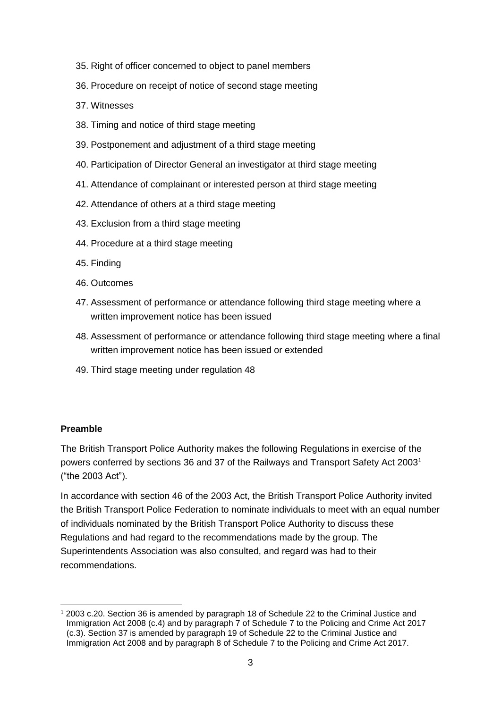- 35. Right of officer concerned to object to panel members
- 36. Procedure on receipt of notice of second stage meeting
- 37. Witnesses
- 38. Timing and notice of third stage meeting
- 39. Postponement and adjustment of a third stage meeting
- 40. Participation of Director General an investigator at third stage meeting
- 41. Attendance of complainant or interested person at third stage meeting
- 42. Attendance of others at a third stage meeting
- 43. Exclusion from a third stage meeting
- 44. Procedure at a third stage meeting
- 45. Finding
- 46. Outcomes
- 47. Assessment of performance or attendance following third stage meeting where a written improvement notice has been issued
- 48. Assessment of performance or attendance following third stage meeting where a final written improvement notice has been issued or extended
- 49. Third stage meeting under regulation 48

#### **Preamble**

The British Transport Police Authority makes the following Regulations in exercise of the powers conferred by sections 36 and 37 of the Railways and Transport Safety Act 2003<sup>1</sup> ("the 2003 Act").

In accordance with section 46 of the 2003 Act, the British Transport Police Authority invited the British Transport Police Federation to nominate individuals to meet with an equal number of individuals nominated by the British Transport Police Authority to discuss these Regulations and had regard to the recommendations made by the group. The Superintendents Association was also consulted, and regard was had to their recommendations.

<sup>-</sup><sup>1</sup> 2003 c.20. Section 36 is amended by paragraph 18 of Schedule 22 to the Criminal Justice and Immigration Act 2008 (c.4) and by paragraph 7 of Schedule 7 to the Policing and Crime Act 2017 (c.3). Section 37 is amended by paragraph 19 of Schedule 22 to the Criminal Justice and Immigration Act 2008 and by paragraph 8 of Schedule 7 to the Policing and Crime Act 2017.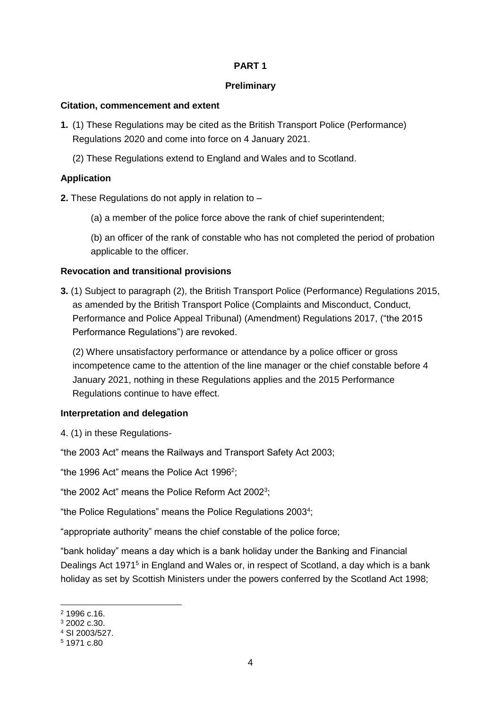#### **PART 1**

#### **Preliminary**

#### **Citation, commencement and extent**

- **1.** (1) These Regulations may be cited as the British Transport Police (Performance) Regulations 2020 and come into force on 4 January 2021.
	- (2) These Regulations extend to England and Wales and to Scotland.

### **Application**

**2.** These Regulations do not apply in relation to –

(a) a member of the police force above the rank of chief superintendent;

(b) an officer of the rank of constable who has not completed the period of probation applicable to the officer.

#### **Revocation and transitional provisions**

**3.** (1) Subject to paragraph (2), the British Transport Police (Performance) Regulations 2015, as amended by the British Transport Police (Complaints and Misconduct, Conduct, Performance and Police Appeal Tribunal) (Amendment) Regulations 2017, ("the 2015 Performance Regulations") are revoked.

(2) Where unsatisfactory performance or attendance by a police officer or gross incompetence came to the attention of the line manager or the chief constable before 4 January 2021, nothing in these Regulations applies and the 2015 Performance Regulations continue to have effect.

### **Interpretation and delegation**

4. (1) in these Regulations-

"the 2003 Act" means the Railways and Transport Safety Act 2003;

"the 1996 Act" means the Police Act 1996<sup>2</sup>;

"the 2002 Act" means the Police Reform Act 2002<sup>3</sup>;

"the Police Regulations" means the Police Regulations 2003<sup>4</sup>;

"appropriate authority" means the chief constable of the police force;

"bank holiday" means a day which is a bank holiday under the Banking and Financial Dealings Act 1971<sup>5</sup> in England and Wales or, in respect of Scotland, a day which is a bank holiday as set by Scottish Ministers under the powers conferred by the Scotland Act 1998;

-

<sup>2</sup> 1996 c.16.

<sup>3</sup> 2002 c.30.

<sup>4</sup> SI 2003/527.

<sup>5</sup> 1971 c.80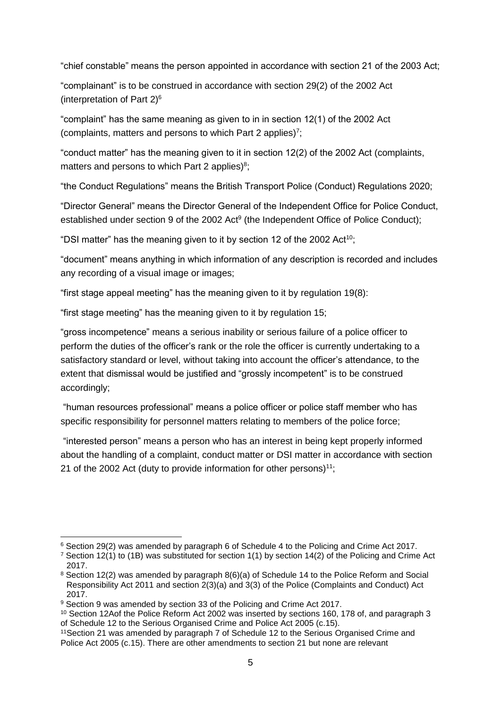"chief constable" means the person appointed in accordance with section 21 of the 2003 Act;

"complainant" is to be construed in accordance with section 29(2) of the 2002 Act (interpretation of Part  $2$ )<sup>6</sup>

"complaint" has the same meaning as given to in in section 12(1) of the 2002 Act (complaints, matters and persons to which Part 2 applies)<sup>7</sup>;

"conduct matter" has the meaning given to it in section 12(2) of the 2002 Act (complaints, matters and persons to which Part 2 applies) $8$ ;

"the Conduct Regulations" means the British Transport Police (Conduct) Regulations 2020;

"Director General" means the Director General of the Independent Office for Police Conduct, established under section 9 of the 2002 Act<sup>9</sup> (the Independent Office of Police Conduct);

"DSI matter" has the meaning given to it by section 12 of the 2002 Act<sup>10</sup>;

"document" means anything in which information of any description is recorded and includes any recording of a visual image or images;

"first stage appeal meeting" has the meaning given to it by regulation 19(8):

"first stage meeting" has the meaning given to it by regulation 15;

"gross incompetence" means a serious inability or serious failure of a police officer to perform the duties of the officer's rank or the role the officer is currently undertaking to a satisfactory standard or level, without taking into account the officer's attendance, to the extent that dismissal would be justified and "grossly incompetent" is to be construed accordingly;

"human resources professional" means a police officer or police staff member who has specific responsibility for personnel matters relating to members of the police force;

"interested person" means a person who has an interest in being kept properly informed about the handling of a complaint, conduct matter or DSI matter in accordance with section 21 of the 2002 Act (duty to provide information for other persons)<sup>11</sup>:

<sup>-</sup><sup>6</sup> Section 29(2) was amended by paragraph 6 of Schedule 4 to the Policing and Crime Act 2017.

<sup>&</sup>lt;sup>7</sup> Section 12(1) to (1B) was substituted for section 1(1) by section 14(2) of the Policing and Crime Act 2017.

<sup>8</sup> Section 12(2) was amended by paragraph 8(6)(a) of Schedule 14 to the Police Reform and Social Responsibility Act 2011 and section 2(3)(a) and 3(3) of the Police (Complaints and Conduct) Act 2017.

<sup>&</sup>lt;sup>9</sup> Section 9 was amended by section 33 of the Policing and Crime Act 2017.

<sup>10</sup> Section 12Aof the Police Reform Act 2002 was inserted by sections 160, 178 of, and paragraph 3 of Schedule 12 to the Serious Organised Crime and Police Act 2005 (c.15).

<sup>11</sup>Section 21 was amended by paragraph 7 of Schedule 12 to the Serious Organised Crime and Police Act 2005 (c.15). There are other amendments to section 21 but none are relevant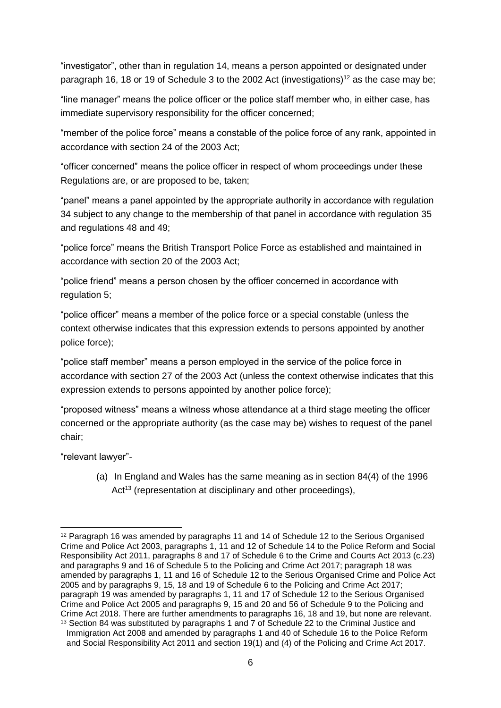"investigator", other than in regulation 14, means a person appointed or designated under paragraph 16, 18 or 19 of Schedule 3 to the 2002 Act (investigations)<sup>12</sup> as the case may be;

"line manager" means the police officer or the police staff member who, in either case, has immediate supervisory responsibility for the officer concerned;

"member of the police force" means a constable of the police force of any rank, appointed in accordance with section 24 of the 2003 Act;

"officer concerned" means the police officer in respect of whom proceedings under these Regulations are, or are proposed to be, taken;

"panel" means a panel appointed by the appropriate authority in accordance with regulation 34 subject to any change to the membership of that panel in accordance with regulation 35 and regulations 48 and 49;

"police force" means the British Transport Police Force as established and maintained in accordance with section 20 of the 2003 Act;

"police friend" means a person chosen by the officer concerned in accordance with regulation 5;

"police officer" means a member of the police force or a special constable (unless the context otherwise indicates that this expression extends to persons appointed by another police force);

"police staff member" means a person employed in the service of the police force in accordance with section 27 of the 2003 Act (unless the context otherwise indicates that this expression extends to persons appointed by another police force);

"proposed witness" means a witness whose attendance at a third stage meeting the officer concerned or the appropriate authority (as the case may be) wishes to request of the panel chair;

"relevant lawyer"-

(a) In England and Wales has the same meaning as in section 84(4) of the 1996 Act<sup>13</sup> (representation at disciplinary and other proceedings),

<sup>-</sup><sup>12</sup> Paragraph 16 was amended by paragraphs 11 and 14 of Schedule 12 to the Serious Organised Crime and Police Act 2003, paragraphs 1, 11 and 12 of Schedule 14 to the Police Reform and Social Responsibility Act 2011, paragraphs 8 and 17 of Schedule 6 to the Crime and Courts Act 2013 (c.23) and paragraphs 9 and 16 of Schedule 5 to the Policing and Crime Act 2017; paragraph 18 was amended by paragraphs 1, 11 and 16 of Schedule 12 to the Serious Organised Crime and Police Act 2005 and by paragraphs 9, 15, 18 and 19 of Schedule 6 to the Policing and Crime Act 2017; paragraph 19 was amended by paragraphs 1, 11 and 17 of Schedule 12 to the Serious Organised Crime and Police Act 2005 and paragraphs 9, 15 and 20 and 56 of Schedule 9 to the Policing and Crime Act 2018. There are further amendments to paragraphs 16, 18 and 19, but none are relevant.

<sup>&</sup>lt;sup>13</sup> Section 84 was substituted by paragraphs 1 and 7 of Schedule 22 to the Criminal Justice and Immigration Act 2008 and amended by paragraphs 1 and 40 of Schedule 16 to the Police Reform and Social Responsibility Act 2011 and section 19(1) and (4) of the Policing and Crime Act 2017.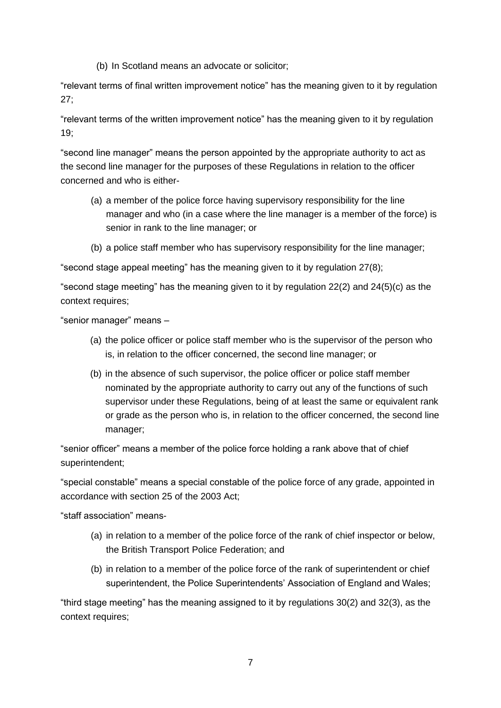(b) In Scotland means an advocate or solicitor;

"relevant terms of final written improvement notice" has the meaning given to it by regulation 27;

"relevant terms of the written improvement notice" has the meaning given to it by regulation 19;

"second line manager" means the person appointed by the appropriate authority to act as the second line manager for the purposes of these Regulations in relation to the officer concerned and who is either-

- (a) a member of the police force having supervisory responsibility for the line manager and who (in a case where the line manager is a member of the force) is senior in rank to the line manager; or
- (b) a police staff member who has supervisory responsibility for the line manager;

"second stage appeal meeting" has the meaning given to it by regulation 27(8);

"second stage meeting" has the meaning given to it by regulation 22(2) and 24(5)(c) as the context requires;

"senior manager" means –

- (a) the police officer or police staff member who is the supervisor of the person who is, in relation to the officer concerned, the second line manager; or
- (b) in the absence of such supervisor, the police officer or police staff member nominated by the appropriate authority to carry out any of the functions of such supervisor under these Regulations, being of at least the same or equivalent rank or grade as the person who is, in relation to the officer concerned, the second line manager;

"senior officer" means a member of the police force holding a rank above that of chief superintendent;

"special constable" means a special constable of the police force of any grade, appointed in accordance with section 25 of the 2003 Act;

"staff association" means-

- (a) in relation to a member of the police force of the rank of chief inspector or below, the British Transport Police Federation; and
- (b) in relation to a member of the police force of the rank of superintendent or chief superintendent, the Police Superintendents' Association of England and Wales;

"third stage meeting" has the meaning assigned to it by regulations 30(2) and 32(3), as the context requires;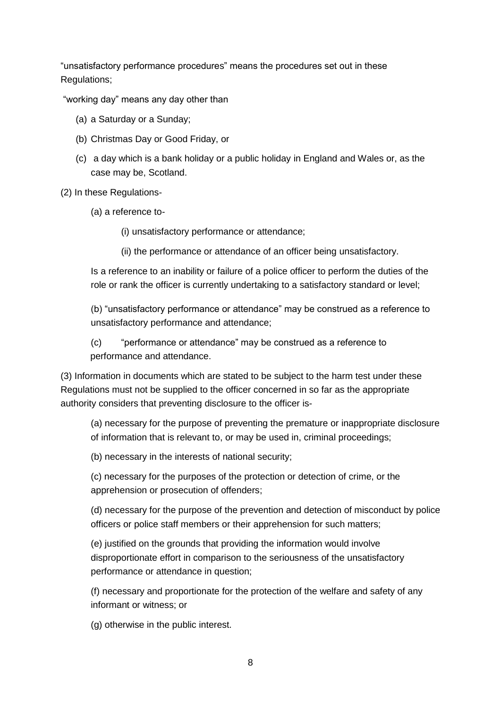"unsatisfactory performance procedures" means the procedures set out in these Regulations;

"working day" means any day other than

- (a) a Saturday or a Sunday;
- (b) Christmas Day or Good Friday, or
- (c) a day which is a bank holiday or a public holiday in England and Wales or, as the case may be, Scotland.

(2) In these Regulations-

(a) a reference to-

(i) unsatisfactory performance or attendance;

(ii) the performance or attendance of an officer being unsatisfactory.

Is a reference to an inability or failure of a police officer to perform the duties of the role or rank the officer is currently undertaking to a satisfactory standard or level;

(b) "unsatisfactory performance or attendance" may be construed as a reference to unsatisfactory performance and attendance;

(c) "performance or attendance" may be construed as a reference to performance and attendance.

(3) Information in documents which are stated to be subject to the harm test under these Regulations must not be supplied to the officer concerned in so far as the appropriate authority considers that preventing disclosure to the officer is-

(a) necessary for the purpose of preventing the premature or inappropriate disclosure of information that is relevant to, or may be used in, criminal proceedings;

(b) necessary in the interests of national security;

(c) necessary for the purposes of the protection or detection of crime, or the apprehension or prosecution of offenders;

(d) necessary for the purpose of the prevention and detection of misconduct by police officers or police staff members or their apprehension for such matters;

(e) justified on the grounds that providing the information would involve disproportionate effort in comparison to the seriousness of the unsatisfactory performance or attendance in question;

(f) necessary and proportionate for the protection of the welfare and safety of any informant or witness; or

(g) otherwise in the public interest.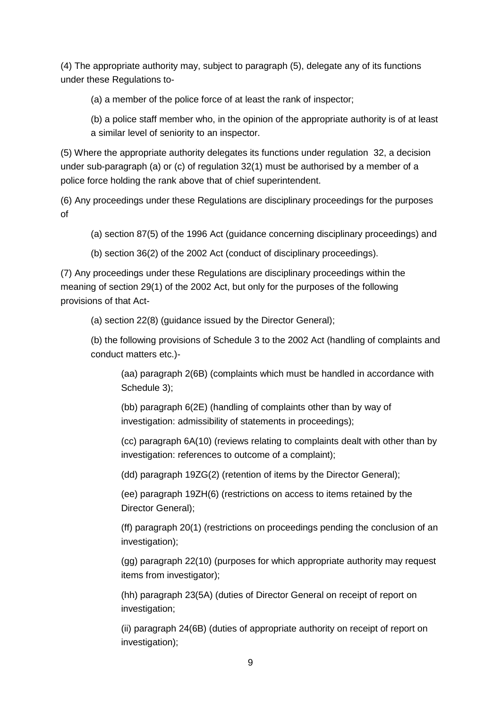(4) The appropriate authority may, subject to paragraph (5), delegate any of its functions under these Regulations to-

(a) a member of the police force of at least the rank of inspector;

(b) a police staff member who, in the opinion of the appropriate authority is of at least a similar level of seniority to an inspector.

(5) Where the appropriate authority delegates its functions under regulation 32, a decision under sub-paragraph (a) or (c) of regulation 32(1) must be authorised by a member of a police force holding the rank above that of chief superintendent.

(6) Any proceedings under these Regulations are disciplinary proceedings for the purposes of

(a) section 87(5) of the 1996 Act (guidance concerning disciplinary proceedings) and

(b) section 36(2) of the 2002 Act (conduct of disciplinary proceedings).

(7) Any proceedings under these Regulations are disciplinary proceedings within the meaning of section 29(1) of the 2002 Act, but only for the purposes of the following provisions of that Act-

(a) section 22(8) (guidance issued by the Director General);

(b) the following provisions of Schedule 3 to the 2002 Act (handling of complaints and conduct matters etc.)-

(aa) paragraph 2(6B) (complaints which must be handled in accordance with Schedule 3);

(bb) paragraph 6(2E) (handling of complaints other than by way of investigation: admissibility of statements in proceedings);

(cc) paragraph 6A(10) (reviews relating to complaints dealt with other than by investigation: references to outcome of a complaint);

(dd) paragraph 19ZG(2) (retention of items by the Director General);

(ee) paragraph 19ZH(6) (restrictions on access to items retained by the Director General);

(ff) paragraph 20(1) (restrictions on proceedings pending the conclusion of an investigation);

(gg) paragraph 22(10) (purposes for which appropriate authority may request items from investigator);

(hh) paragraph 23(5A) (duties of Director General on receipt of report on investigation;

(ii) paragraph 24(6B) (duties of appropriate authority on receipt of report on investigation);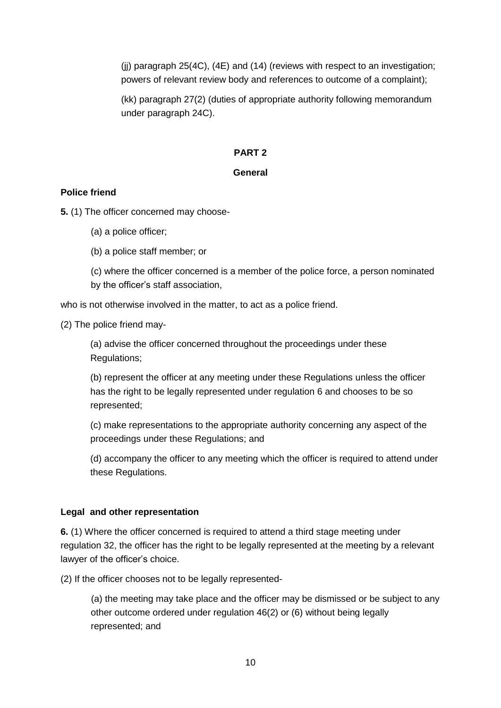(jj) paragraph 25(4C), (4E) and (14) (reviews with respect to an investigation; powers of relevant review body and references to outcome of a complaint);

(kk) paragraph 27(2) (duties of appropriate authority following memorandum under paragraph 24C).

#### **PART 2**

### **General**

#### **Police friend**

**5.** (1) The officer concerned may choose-

- (a) a police officer;
- (b) a police staff member; or
- (c) where the officer concerned is a member of the police force, a person nominated by the officer's staff association,

who is not otherwise involved in the matter, to act as a police friend.

(2) The police friend may-

(a) advise the officer concerned throughout the proceedings under these Regulations;

(b) represent the officer at any meeting under these Regulations unless the officer has the right to be legally represented under regulation 6 and chooses to be so represented;

(c) make representations to the appropriate authority concerning any aspect of the proceedings under these Regulations; and

(d) accompany the officer to any meeting which the officer is required to attend under these Regulations.

### **Legal and other representation**

**6.** (1) Where the officer concerned is required to attend a third stage meeting under regulation 32, the officer has the right to be legally represented at the meeting by a relevant lawyer of the officer's choice.

(2) If the officer chooses not to be legally represented-

(a) the meeting may take place and the officer may be dismissed or be subject to any other outcome ordered under regulation 46(2) or (6) without being legally represented; and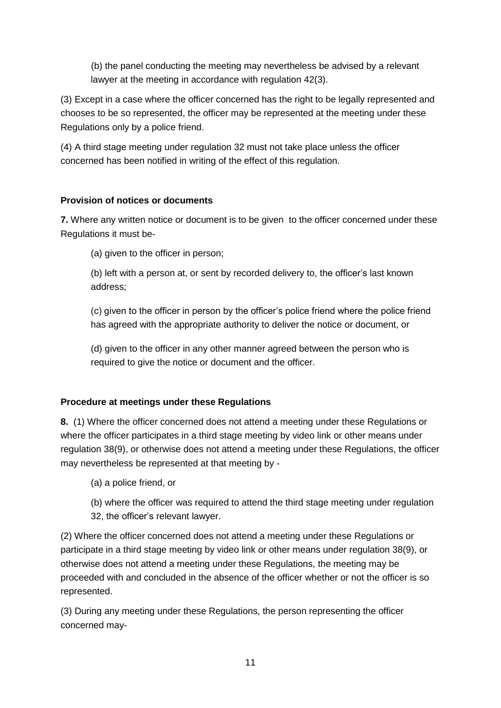(b) the panel conducting the meeting may nevertheless be advised by a relevant lawyer at the meeting in accordance with regulation 42(3).

(3) Except in a case where the officer concerned has the right to be legally represented and chooses to be so represented, the officer may be represented at the meeting under these Regulations only by a police friend.

(4) A third stage meeting under regulation 32 must not take place unless the officer concerned has been notified in writing of the effect of this regulation.

# **Provision of notices or documents**

**7.** Where any written notice or document is to be given to the officer concerned under these Regulations it must be-

(a) given to the officer in person;

(b) left with a person at, or sent by recorded delivery to, the officer's last known address;

(c) given to the officer in person by the officer's police friend where the police friend has agreed with the appropriate authority to deliver the notice or document, or

(d) given to the officer in any other manner agreed between the person who is required to give the notice or document and the officer.

# **Procedure at meetings under these Regulations**

**8.** (1) Where the officer concerned does not attend a meeting under these Regulations or where the officer participates in a third stage meeting by video link or other means under regulation 38(9), or otherwise does not attend a meeting under these Regulations, the officer may nevertheless be represented at that meeting by -

- (a) a police friend, or
- (b) where the officer was required to attend the third stage meeting under regulation 32, the officer's relevant lawyer.

(2) Where the officer concerned does not attend a meeting under these Regulations or participate in a third stage meeting by video link or other means under regulation 38(9), or otherwise does not attend a meeting under these Regulations, the meeting may be proceeded with and concluded in the absence of the officer whether or not the officer is so represented.

(3) During any meeting under these Regulations, the person representing the officer concerned may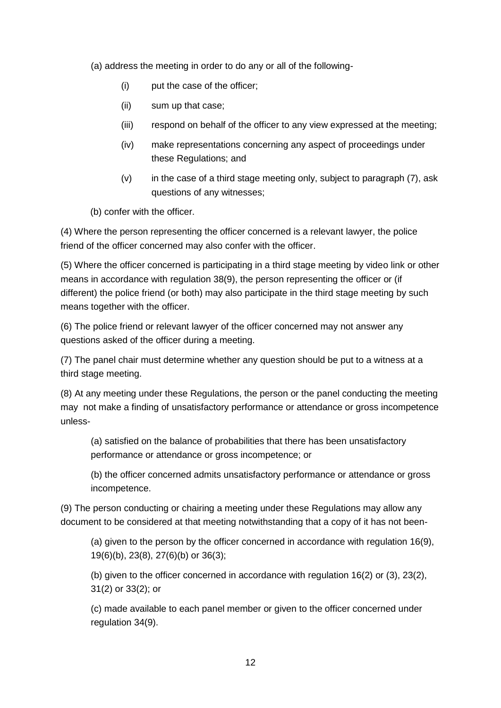(a) address the meeting in order to do any or all of the following-

- (i) put the case of the officer;
- (ii) sum up that case;
- (iii) respond on behalf of the officer to any view expressed at the meeting;
- (iv) make representations concerning any aspect of proceedings under these Regulations; and
- (v) in the case of a third stage meeting only, subject to paragraph (7), ask questions of any witnesses;

(b) confer with the officer.

(4) Where the person representing the officer concerned is a relevant lawyer, the police friend of the officer concerned may also confer with the officer.

(5) Where the officer concerned is participating in a third stage meeting by video link or other means in accordance with regulation 38(9), the person representing the officer or (if different) the police friend (or both) may also participate in the third stage meeting by such means together with the officer.

(6) The police friend or relevant lawyer of the officer concerned may not answer any questions asked of the officer during a meeting.

(7) The panel chair must determine whether any question should be put to a witness at a third stage meeting.

(8) At any meeting under these Regulations, the person or the panel conducting the meeting may not make a finding of unsatisfactory performance or attendance or gross incompetence unless-

(a) satisfied on the balance of probabilities that there has been unsatisfactory performance or attendance or gross incompetence; or

(b) the officer concerned admits unsatisfactory performance or attendance or gross incompetence.

(9) The person conducting or chairing a meeting under these Regulations may allow any document to be considered at that meeting notwithstanding that a copy of it has not been-

(a) given to the person by the officer concerned in accordance with regulation 16(9), 19(6)(b), 23(8), 27(6)(b) or 36(3);

(b) given to the officer concerned in accordance with regulation 16(2) or (3), 23(2), 31(2) or 33(2); or

(c) made available to each panel member or given to the officer concerned under regulation 34(9).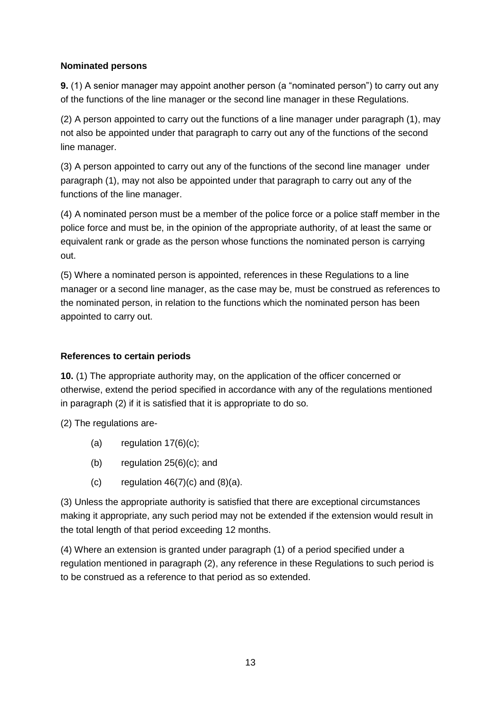### **Nominated persons**

**9.** (1) A senior manager may appoint another person (a "nominated person") to carry out any of the functions of the line manager or the second line manager in these Regulations.

(2) A person appointed to carry out the functions of a line manager under paragraph (1), may not also be appointed under that paragraph to carry out any of the functions of the second line manager.

(3) A person appointed to carry out any of the functions of the second line manager under paragraph (1), may not also be appointed under that paragraph to carry out any of the functions of the line manager.

(4) A nominated person must be a member of the police force or a police staff member in the police force and must be, in the opinion of the appropriate authority, of at least the same or equivalent rank or grade as the person whose functions the nominated person is carrying out.

(5) Where a nominated person is appointed, references in these Regulations to a line manager or a second line manager, as the case may be, must be construed as references to the nominated person, in relation to the functions which the nominated person has been appointed to carry out.

## **References to certain periods**

**10.** (1) The appropriate authority may, on the application of the officer concerned or otherwise, extend the period specified in accordance with any of the regulations mentioned in paragraph (2) if it is satisfied that it is appropriate to do so.

(2) The regulations are-

- (a) regulation  $17(6)(c)$ ;
- (b) regulation 25(6)(c); and
- (c) regulation  $46(7)(c)$  and  $(8)(a)$ .

(3) Unless the appropriate authority is satisfied that there are exceptional circumstances making it appropriate, any such period may not be extended if the extension would result in the total length of that period exceeding 12 months.

(4) Where an extension is granted under paragraph (1) of a period specified under a regulation mentioned in paragraph (2), any reference in these Regulations to such period is to be construed as a reference to that period as so extended.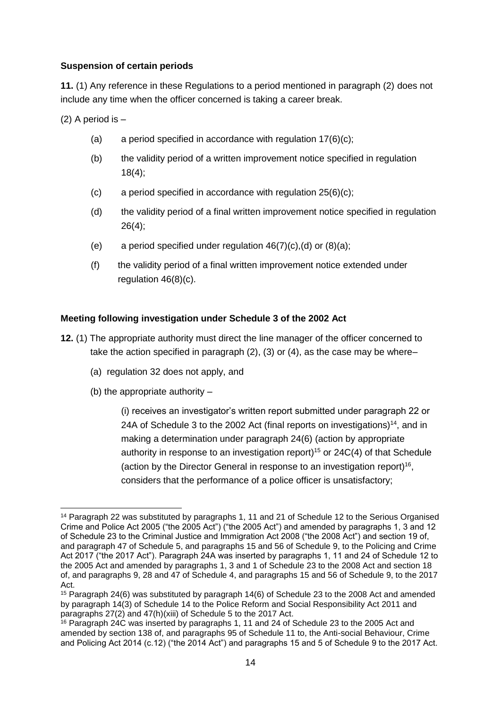#### **Suspension of certain periods**

**11.** (1) Any reference in these Regulations to a period mentioned in paragraph (2) does not include any time when the officer concerned is taking a career break.

(2) A period is –

- (a) a period specified in accordance with regulation  $17(6)(c)$ ;
- (b) the validity period of a written improvement notice specified in regulation 18(4);
- (c) a period specified in accordance with regulation  $25(6)(c)$ ;
- (d) the validity period of a final written improvement notice specified in regulation 26(4);
- (e) a period specified under regulation  $46(7)(c)$ , (d) or  $(8)(a)$ ;
- (f) the validity period of a final written improvement notice extended under regulation 46(8)(c).

#### **Meeting following investigation under Schedule 3 of the 2002 Act**

- **12.** (1) The appropriate authority must direct the line manager of the officer concerned to take the action specified in paragraph (2), (3) or (4), as the case may be where–
	- (a) regulation 32 does not apply, and
	- (b) the appropriate authority –

(i) receives an investigator's written report submitted under paragraph 22 or 24A of Schedule 3 to the 2002 Act (final reports on investigations)<sup>14</sup>, and in making a determination under paragraph 24(6) (action by appropriate authority in response to an investigation report)<sup>15</sup> or  $24C(4)$  of that Schedule (action by the Director General in response to an investigation report)<sup>16</sup>, considers that the performance of a police officer is unsatisfactory;

<sup>-</sup><sup>14</sup> Paragraph 22 was substituted by paragraphs 1, 11 and 21 of Schedule 12 to the Serious Organised Crime and Police Act 2005 ("the 2005 Act") ("the 2005 Act") and amended by paragraphs 1, 3 and 12 of Schedule 23 to the Criminal Justice and Immigration Act 2008 ("the 2008 Act") and section 19 of, and paragraph 47 of Schedule 5, and paragraphs 15 and 56 of Schedule 9, to the Policing and Crime Act 2017 ("the 2017 Act"). Paragraph 24A was inserted by paragraphs 1, 11 and 24 of Schedule 12 to the 2005 Act and amended by paragraphs 1, 3 and 1 of Schedule 23 to the 2008 Act and section 18 of, and paragraphs 9, 28 and 47 of Schedule 4, and paragraphs 15 and 56 of Schedule 9, to the 2017 Act.

<sup>15</sup> Paragraph 24(6) was substituted by paragraph 14(6) of Schedule 23 to the 2008 Act and amended by paragraph 14(3) of Schedule 14 to the Police Reform and Social Responsibility Act 2011 and paragraphs 27(2) and 47(h)(xiii) of Schedule 5 to the 2017 Act.

<sup>&</sup>lt;sup>16</sup> Paragraph 24C was inserted by paragraphs 1, 11 and 24 of Schedule 23 to the 2005 Act and amended by section 138 of, and paragraphs 95 of Schedule 11 to, the Anti-social Behaviour, Crime and Policing Act 2014 (c.12) ("the 2014 Act") and paragraphs 15 and 5 of Schedule 9 to the 2017 Act.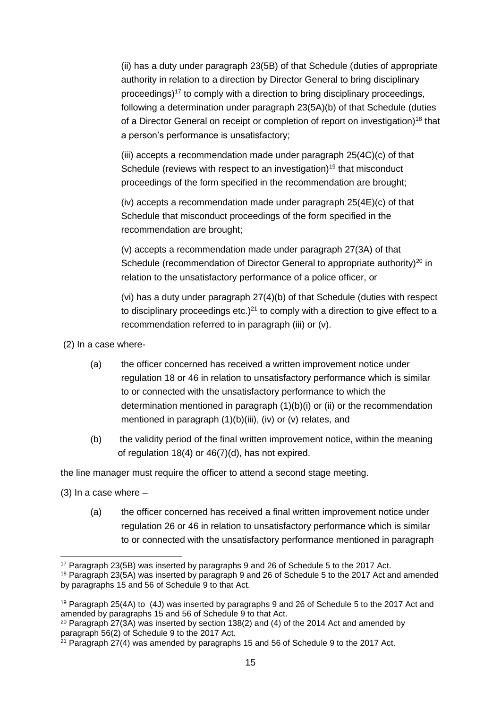(ii) has a duty under paragraph 23(5B) of that Schedule (duties of appropriate authority in relation to a direction by Director General to bring disciplinary proceedings) <sup>17</sup> to comply with a direction to bring disciplinary proceedings, following a determination under paragraph 23(5A)(b) of that Schedule (duties of a Director General on receipt or completion of report on investigation)<sup>18</sup> that a person's performance is unsatisfactory;

(iii) accepts a recommendation made under paragraph 25(4C)(c) of that Schedule (reviews with respect to an investigation)<sup>19</sup> that misconduct proceedings of the form specified in the recommendation are brought;

(iv) accepts a recommendation made under paragraph 25(4E)(c) of that Schedule that misconduct proceedings of the form specified in the recommendation are brought;

(v) accepts a recommendation made under paragraph 27(3A) of that Schedule (recommendation of Director General to appropriate authority)<sup>20</sup> in relation to the unsatisfactory performance of a police officer, or

(vi) has a duty under paragraph 27(4)(b) of that Schedule (duties with respect to disciplinary proceedings etc. $)^{21}$  to comply with a direction to give effect to a recommendation referred to in paragraph (iii) or (v).

(2) In a case where-

- (a) the officer concerned has received a written improvement notice under regulation 18 or 46 in relation to unsatisfactory performance which is similar to or connected with the unsatisfactory performance to which the determination mentioned in paragraph (1)(b)(i) or (ii) or the recommendation mentioned in paragraph (1)(b)(iii), (iv) or (v) relates, and
- (b) the validity period of the final written improvement notice, within the meaning of regulation 18(4) or 46(7)(d), has not expired.

the line manager must require the officer to attend a second stage meeting.

(3) In a case where  $-$ 

(a) the officer concerned has received a final written improvement notice under regulation 26 or 46 in relation to unsatisfactory performance which is similar to or connected with the unsatisfactory performance mentioned in paragraph

<sup>-</sup><sup>17</sup> Paragraph 23(5B) was inserted by paragraphs 9 and 26 of Schedule 5 to the 2017 Act.

<sup>18</sup> Paragraph 23(5A) was inserted by paragraph 9 and 26 of Schedule 5 to the 2017 Act and amended by paragraphs 15 and 56 of Schedule 9 to that Act.

<sup>19</sup> Paragraph 25(4A) to (4J) was inserted by paragraphs 9 and 26 of Schedule 5 to the 2017 Act and amended by paragraphs 15 and 56 of Schedule 9 to that Act.

<sup>&</sup>lt;sup>20</sup> Paragraph 27(3A) was inserted by section 138(2) and (4) of the 2014 Act and amended by paragraph 56(2) of Schedule 9 to the 2017 Act.

 $21$  Paragraph 27(4) was amended by paragraphs 15 and 56 of Schedule 9 to the 2017 Act.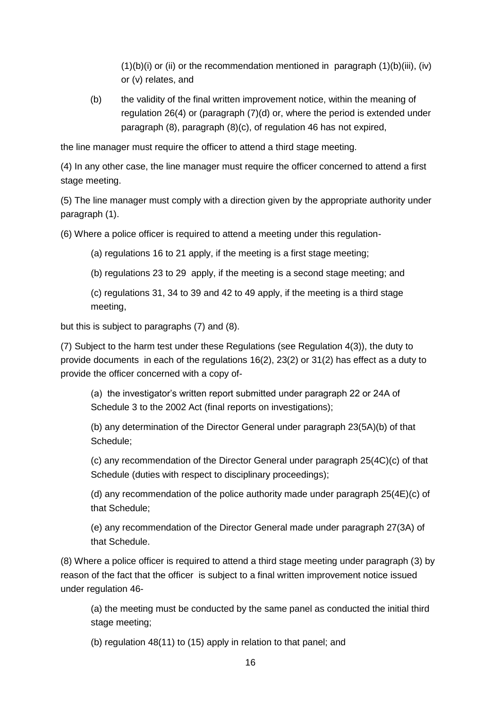$(1)(b)(i)$  or (ii) or the recommendation mentioned in paragraph  $(1)(b)(iii)$ , (iv) or (v) relates, and

(b) the validity of the final written improvement notice, within the meaning of regulation 26(4) or (paragraph (7)(d) or, where the period is extended under paragraph (8), paragraph (8)(c), of regulation 46 has not expired,

the line manager must require the officer to attend a third stage meeting.

(4) In any other case, the line manager must require the officer concerned to attend a first stage meeting.

(5) The line manager must comply with a direction given by the appropriate authority under paragraph (1).

(6) Where a police officer is required to attend a meeting under this regulation-

(a) regulations 16 to 21 apply, if the meeting is a first stage meeting;

(b) regulations 23 to 29 apply, if the meeting is a second stage meeting; and

(c) regulations 31, 34 to 39 and 42 to 49 apply, if the meeting is a third stage meeting,

but this is subject to paragraphs (7) and (8).

(7) Subject to the harm test under these Regulations (see Regulation 4(3)), the duty to provide documents in each of the regulations 16(2), 23(2) or 31(2) has effect as a duty to provide the officer concerned with a copy of-

(a) the investigator's written report submitted under paragraph 22 or 24A of Schedule 3 to the 2002 Act (final reports on investigations);

(b) any determination of the Director General under paragraph 23(5A)(b) of that Schedule;

(c) any recommendation of the Director General under paragraph 25(4C)(c) of that Schedule (duties with respect to disciplinary proceedings);

(d) any recommendation of the police authority made under paragraph 25(4E)(c) of that Schedule;

(e) any recommendation of the Director General made under paragraph 27(3A) of that Schedule.

(8) Where a police officer is required to attend a third stage meeting under paragraph (3) by reason of the fact that the officer is subject to a final written improvement notice issued under regulation 46-

(a) the meeting must be conducted by the same panel as conducted the initial third stage meeting;

(b) regulation 48(11) to (15) apply in relation to that panel; and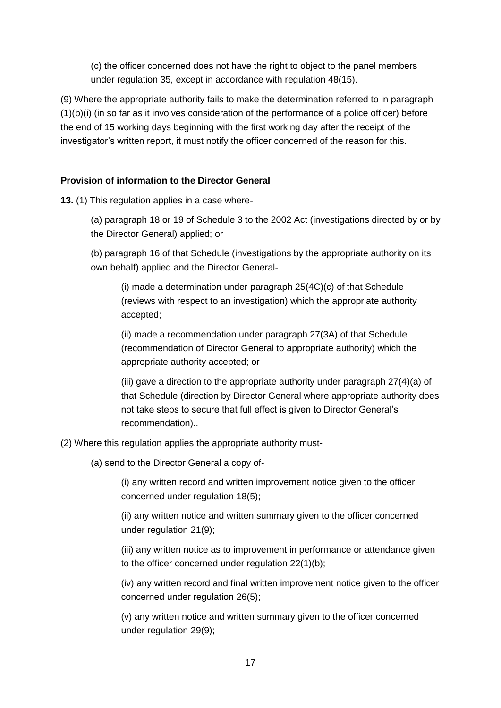(c) the officer concerned does not have the right to object to the panel members under regulation 35, except in accordance with regulation 48(15).

(9) Where the appropriate authority fails to make the determination referred to in paragraph (1)(b)(i) (in so far as it involves consideration of the performance of a police officer) before the end of 15 working days beginning with the first working day after the receipt of the investigator's written report, it must notify the officer concerned of the reason for this.

### **Provision of information to the Director General**

**13.** (1) This regulation applies in a case where-

(a) paragraph 18 or 19 of Schedule 3 to the 2002 Act (investigations directed by or by the Director General) applied; or

(b) paragraph 16 of that Schedule (investigations by the appropriate authority on its own behalf) applied and the Director General-

(i) made a determination under paragraph 25(4C)(c) of that Schedule (reviews with respect to an investigation) which the appropriate authority accepted;

(ii) made a recommendation under paragraph 27(3A) of that Schedule (recommendation of Director General to appropriate authority) which the appropriate authority accepted; or

(iii) gave a direction to the appropriate authority under paragraph 27(4)(a) of that Schedule (direction by Director General where appropriate authority does not take steps to secure that full effect is given to Director General's recommendation)..

(2) Where this regulation applies the appropriate authority must-

(a) send to the Director General a copy of-

(i) any written record and written improvement notice given to the officer concerned under regulation 18(5);

(ii) any written notice and written summary given to the officer concerned under regulation 21(9);

(iii) any written notice as to improvement in performance or attendance given to the officer concerned under regulation 22(1)(b);

(iv) any written record and final written improvement notice given to the officer concerned under regulation 26(5);

(v) any written notice and written summary given to the officer concerned under regulation 29(9);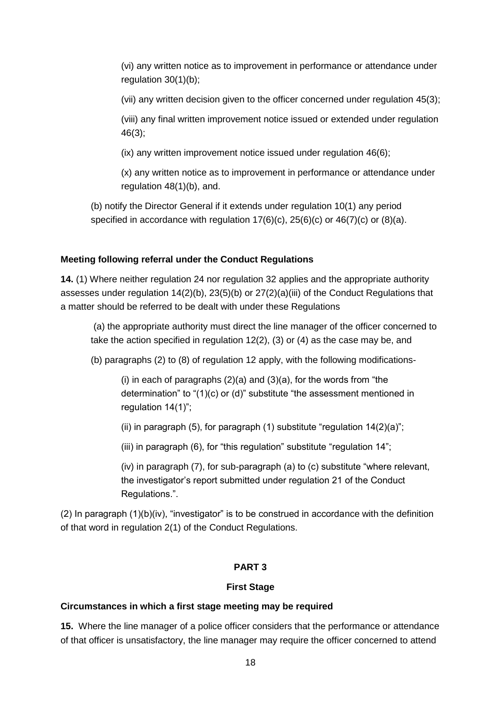(vi) any written notice as to improvement in performance or attendance under regulation 30(1)(b);

(vii) any written decision given to the officer concerned under regulation 45(3);

(viii) any final written improvement notice issued or extended under regulation 46(3);

(ix) any written improvement notice issued under regulation 46(6);

(x) any written notice as to improvement in performance or attendance under regulation 48(1)(b), and.

(b) notify the Director General if it extends under regulation 10(1) any period specified in accordance with regulation 17(6)(c), 25(6)(c) or 46(7)(c) or (8)(a).

### **Meeting following referral under the Conduct Regulations**

**14.** (1) Where neither regulation 24 nor regulation 32 applies and the appropriate authority assesses under regulation 14(2)(b), 23(5)(b) or 27(2)(a)(iii) of the Conduct Regulations that a matter should be referred to be dealt with under these Regulations

(a) the appropriate authority must direct the line manager of the officer concerned to take the action specified in regulation 12(2), (3) or (4) as the case may be, and

(b) paragraphs (2) to (8) of regulation 12 apply, with the following modifications-

(i) in each of paragraphs  $(2)(a)$  and  $(3)(a)$ , for the words from "the determination" to "(1)(c) or (d)" substitute "the assessment mentioned in regulation 14(1)";

(ii) in paragraph (5), for paragraph (1) substitute "regulation  $14(2)(a)$ ";

(iii) in paragraph (6), for "this regulation" substitute "regulation 14";

(iv) in paragraph (7), for sub-paragraph (a) to (c) substitute "where relevant, the investigator's report submitted under regulation 21 of the Conduct Regulations.".

(2) In paragraph (1)(b)(iv), "investigator" is to be construed in accordance with the definition of that word in regulation 2(1) of the Conduct Regulations.

### **PART 3**

#### **First Stage**

### **Circumstances in which a first stage meeting may be required**

**15.** Where the line manager of a police officer considers that the performance or attendance of that officer is unsatisfactory, the line manager may require the officer concerned to attend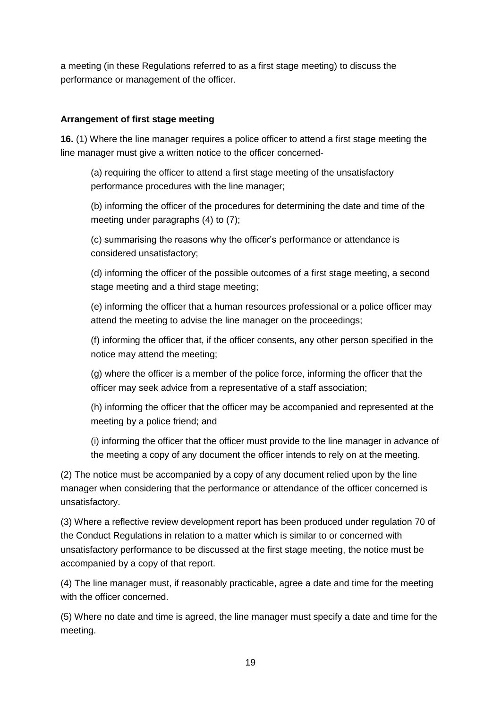a meeting (in these Regulations referred to as a first stage meeting) to discuss the performance or management of the officer.

### **Arrangement of first stage meeting**

**16.** (1) Where the line manager requires a police officer to attend a first stage meeting the line manager must give a written notice to the officer concerned-

(a) requiring the officer to attend a first stage meeting of the unsatisfactory performance procedures with the line manager;

(b) informing the officer of the procedures for determining the date and time of the meeting under paragraphs (4) to (7);

(c) summarising the reasons why the officer's performance or attendance is considered unsatisfactory;

(d) informing the officer of the possible outcomes of a first stage meeting, a second stage meeting and a third stage meeting;

(e) informing the officer that a human resources professional or a police officer may attend the meeting to advise the line manager on the proceedings;

(f) informing the officer that, if the officer consents, any other person specified in the notice may attend the meeting;

(g) where the officer is a member of the police force, informing the officer that the officer may seek advice from a representative of a staff association;

(h) informing the officer that the officer may be accompanied and represented at the meeting by a police friend; and

(i) informing the officer that the officer must provide to the line manager in advance of the meeting a copy of any document the officer intends to rely on at the meeting.

(2) The notice must be accompanied by a copy of any document relied upon by the line manager when considering that the performance or attendance of the officer concerned is unsatisfactory.

(3) Where a reflective review development report has been produced under regulation 70 of the Conduct Regulations in relation to a matter which is similar to or concerned with unsatisfactory performance to be discussed at the first stage meeting, the notice must be accompanied by a copy of that report.

(4) The line manager must, if reasonably practicable, agree a date and time for the meeting with the officer concerned.

(5) Where no date and time is agreed, the line manager must specify a date and time for the meeting.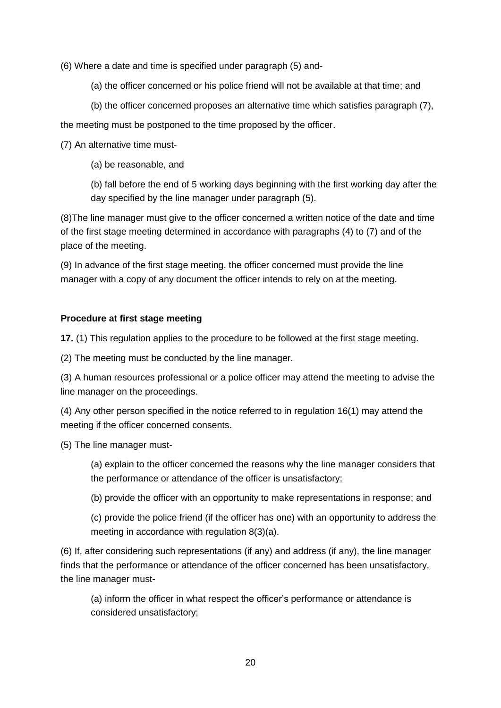(6) Where a date and time is specified under paragraph (5) and-

(a) the officer concerned or his police friend will not be available at that time; and

(b) the officer concerned proposes an alternative time which satisfies paragraph (7),

the meeting must be postponed to the time proposed by the officer.

(7) An alternative time must-

(a) be reasonable, and

(b) fall before the end of 5 working days beginning with the first working day after the day specified by the line manager under paragraph (5).

(8)The line manager must give to the officer concerned a written notice of the date and time of the first stage meeting determined in accordance with paragraphs (4) to (7) and of the place of the meeting.

(9) In advance of the first stage meeting, the officer concerned must provide the line manager with a copy of any document the officer intends to rely on at the meeting.

## **Procedure at first stage meeting**

**17.** (1) This regulation applies to the procedure to be followed at the first stage meeting.

(2) The meeting must be conducted by the line manager.

(3) A human resources professional or a police officer may attend the meeting to advise the line manager on the proceedings.

(4) Any other person specified in the notice referred to in regulation 16(1) may attend the meeting if the officer concerned consents.

(5) The line manager must-

(a) explain to the officer concerned the reasons why the line manager considers that the performance or attendance of the officer is unsatisfactory;

(b) provide the officer with an opportunity to make representations in response; and

(c) provide the police friend (if the officer has one) with an opportunity to address the meeting in accordance with regulation 8(3)(a).

(6) If, after considering such representations (if any) and address (if any), the line manager finds that the performance or attendance of the officer concerned has been unsatisfactory, the line manager must-

(a) inform the officer in what respect the officer's performance or attendance is considered unsatisfactory;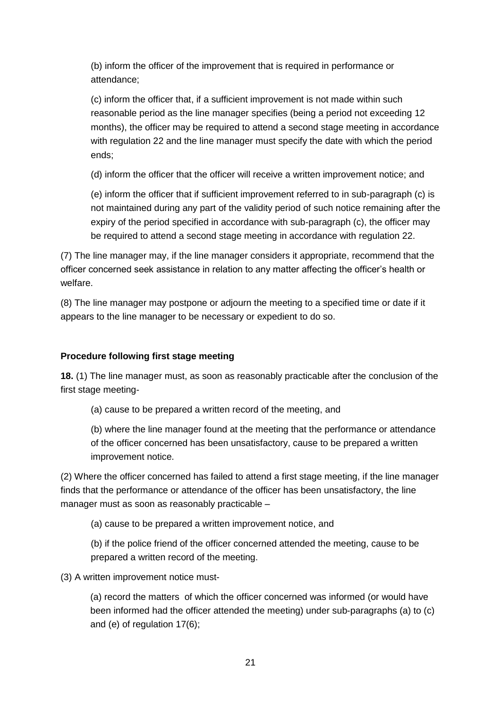(b) inform the officer of the improvement that is required in performance or attendance;

(c) inform the officer that, if a sufficient improvement is not made within such reasonable period as the line manager specifies (being a period not exceeding 12 months), the officer may be required to attend a second stage meeting in accordance with regulation 22 and the line manager must specify the date with which the period ends;

(d) inform the officer that the officer will receive a written improvement notice; and

(e) inform the officer that if sufficient improvement referred to in sub-paragraph (c) is not maintained during any part of the validity period of such notice remaining after the expiry of the period specified in accordance with sub-paragraph (c), the officer may be required to attend a second stage meeting in accordance with regulation 22.

(7) The line manager may, if the line manager considers it appropriate, recommend that the officer concerned seek assistance in relation to any matter affecting the officer's health or welfare.

(8) The line manager may postpone or adjourn the meeting to a specified time or date if it appears to the line manager to be necessary or expedient to do so.

# **Procedure following first stage meeting**

**18.** (1) The line manager must, as soon as reasonably practicable after the conclusion of the first stage meeting-

(a) cause to be prepared a written record of the meeting, and

(b) where the line manager found at the meeting that the performance or attendance of the officer concerned has been unsatisfactory, cause to be prepared a written improvement notice.

(2) Where the officer concerned has failed to attend a first stage meeting, if the line manager finds that the performance or attendance of the officer has been unsatisfactory, the line manager must as soon as reasonably practicable –

(a) cause to be prepared a written improvement notice, and

(b) if the police friend of the officer concerned attended the meeting, cause to be prepared a written record of the meeting.

(3) A written improvement notice must-

(a) record the matters of which the officer concerned was informed (or would have been informed had the officer attended the meeting) under sub-paragraphs (a) to (c) and (e) of regulation 17(6);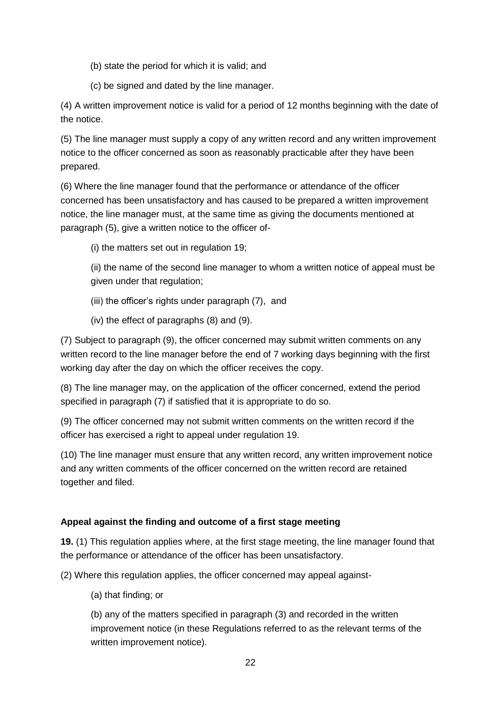- (b) state the period for which it is valid; and
- (c) be signed and dated by the line manager.

(4) A written improvement notice is valid for a period of 12 months beginning with the date of the notice.

(5) The line manager must supply a copy of any written record and any written improvement notice to the officer concerned as soon as reasonably practicable after they have been prepared.

(6) Where the line manager found that the performance or attendance of the officer concerned has been unsatisfactory and has caused to be prepared a written improvement notice, the line manager must, at the same time as giving the documents mentioned at paragraph (5), give a written notice to the officer of-

(i) the matters set out in regulation 19;

(ii) the name of the second line manager to whom a written notice of appeal must be given under that regulation;

- (iii) the officer's rights under paragraph (7), and
- (iv) the effect of paragraphs (8) and (9).

(7) Subject to paragraph (9), the officer concerned may submit written comments on any written record to the line manager before the end of 7 working days beginning with the first working day after the day on which the officer receives the copy.

(8) The line manager may, on the application of the officer concerned, extend the period specified in paragraph (7) if satisfied that it is appropriate to do so.

(9) The officer concerned may not submit written comments on the written record if the officer has exercised a right to appeal under regulation 19.

(10) The line manager must ensure that any written record, any written improvement notice and any written comments of the officer concerned on the written record are retained together and filed.

# **Appeal against the finding and outcome of a first stage meeting**

**19.** (1) This regulation applies where, at the first stage meeting, the line manager found that the performance or attendance of the officer has been unsatisfactory.

(2) Where this regulation applies, the officer concerned may appeal against-

(a) that finding; or

(b) any of the matters specified in paragraph (3) and recorded in the written improvement notice (in these Regulations referred to as the relevant terms of the written improvement notice).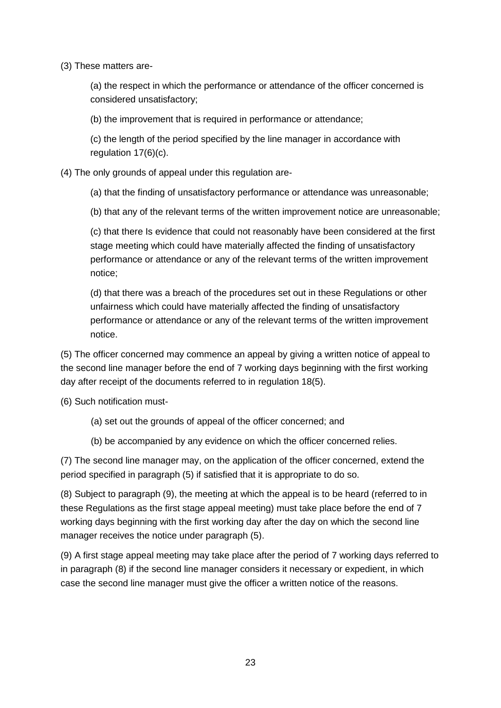(3) These matters are-

(a) the respect in which the performance or attendance of the officer concerned is considered unsatisfactory;

(b) the improvement that is required in performance or attendance;

(c) the length of the period specified by the line manager in accordance with regulation 17(6)(c).

(4) The only grounds of appeal under this regulation are-

(a) that the finding of unsatisfactory performance or attendance was unreasonable;

(b) that any of the relevant terms of the written improvement notice are unreasonable;

(c) that there Is evidence that could not reasonably have been considered at the first stage meeting which could have materially affected the finding of unsatisfactory performance or attendance or any of the relevant terms of the written improvement notice;

(d) that there was a breach of the procedures set out in these Regulations or other unfairness which could have materially affected the finding of unsatisfactory performance or attendance or any of the relevant terms of the written improvement notice.

(5) The officer concerned may commence an appeal by giving a written notice of appeal to the second line manager before the end of 7 working days beginning with the first working day after receipt of the documents referred to in regulation 18(5).

(6) Such notification must-

- (a) set out the grounds of appeal of the officer concerned; and
- (b) be accompanied by any evidence on which the officer concerned relies.

(7) The second line manager may, on the application of the officer concerned, extend the period specified in paragraph (5) if satisfied that it is appropriate to do so.

(8) Subject to paragraph (9), the meeting at which the appeal is to be heard (referred to in these Regulations as the first stage appeal meeting) must take place before the end of 7 working days beginning with the first working day after the day on which the second line manager receives the notice under paragraph (5).

(9) A first stage appeal meeting may take place after the period of 7 working days referred to in paragraph (8) if the second line manager considers it necessary or expedient, in which case the second line manager must give the officer a written notice of the reasons.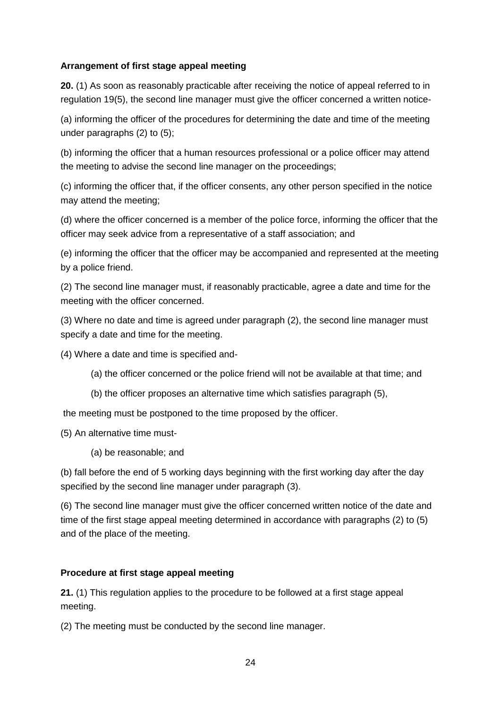#### **Arrangement of first stage appeal meeting**

**20.** (1) As soon as reasonably practicable after receiving the notice of appeal referred to in regulation 19(5), the second line manager must give the officer concerned a written notice-

(a) informing the officer of the procedures for determining the date and time of the meeting under paragraphs (2) to (5);

(b) informing the officer that a human resources professional or a police officer may attend the meeting to advise the second line manager on the proceedings;

(c) informing the officer that, if the officer consents, any other person specified in the notice may attend the meeting;

(d) where the officer concerned is a member of the police force, informing the officer that the officer may seek advice from a representative of a staff association; and

(e) informing the officer that the officer may be accompanied and represented at the meeting by a police friend.

(2) The second line manager must, if reasonably practicable, agree a date and time for the meeting with the officer concerned.

(3) Where no date and time is agreed under paragraph (2), the second line manager must specify a date and time for the meeting.

(4) Where a date and time is specified and-

- (a) the officer concerned or the police friend will not be available at that time; and
- (b) the officer proposes an alternative time which satisfies paragraph (5),

the meeting must be postponed to the time proposed by the officer.

(5) An alternative time must-

(a) be reasonable; and

(b) fall before the end of 5 working days beginning with the first working day after the day specified by the second line manager under paragraph (3).

(6) The second line manager must give the officer concerned written notice of the date and time of the first stage appeal meeting determined in accordance with paragraphs (2) to (5) and of the place of the meeting.

#### **Procedure at first stage appeal meeting**

**21.** (1) This regulation applies to the procedure to be followed at a first stage appeal meeting.

(2) The meeting must be conducted by the second line manager.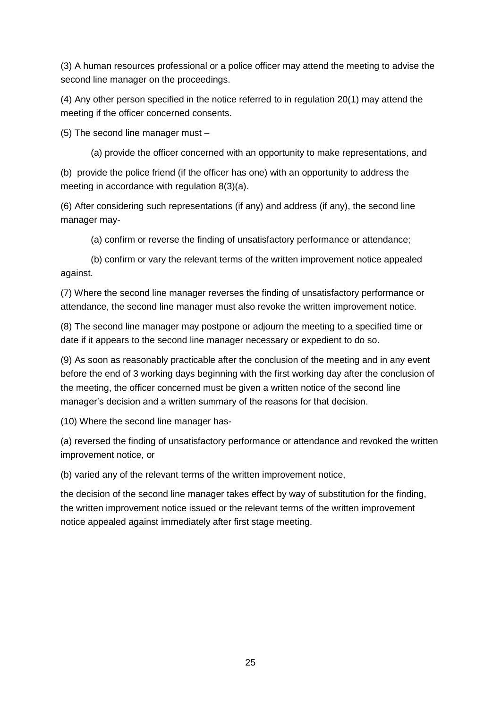(3) A human resources professional or a police officer may attend the meeting to advise the second line manager on the proceedings.

(4) Any other person specified in the notice referred to in regulation 20(1) may attend the meeting if the officer concerned consents.

(5) The second line manager must –

(a) provide the officer concerned with an opportunity to make representations, and

(b) provide the police friend (if the officer has one) with an opportunity to address the meeting in accordance with regulation 8(3)(a).

(6) After considering such representations (if any) and address (if any), the second line manager may-

(a) confirm or reverse the finding of unsatisfactory performance or attendance;

(b) confirm or vary the relevant terms of the written improvement notice appealed against.

(7) Where the second line manager reverses the finding of unsatisfactory performance or attendance, the second line manager must also revoke the written improvement notice.

(8) The second line manager may postpone or adjourn the meeting to a specified time or date if it appears to the second line manager necessary or expedient to do so.

(9) As soon as reasonably practicable after the conclusion of the meeting and in any event before the end of 3 working days beginning with the first working day after the conclusion of the meeting, the officer concerned must be given a written notice of the second line manager's decision and a written summary of the reasons for that decision.

(10) Where the second line manager has-

(a) reversed the finding of unsatisfactory performance or attendance and revoked the written improvement notice, or

(b) varied any of the relevant terms of the written improvement notice,

the decision of the second line manager takes effect by way of substitution for the finding, the written improvement notice issued or the relevant terms of the written improvement notice appealed against immediately after first stage meeting.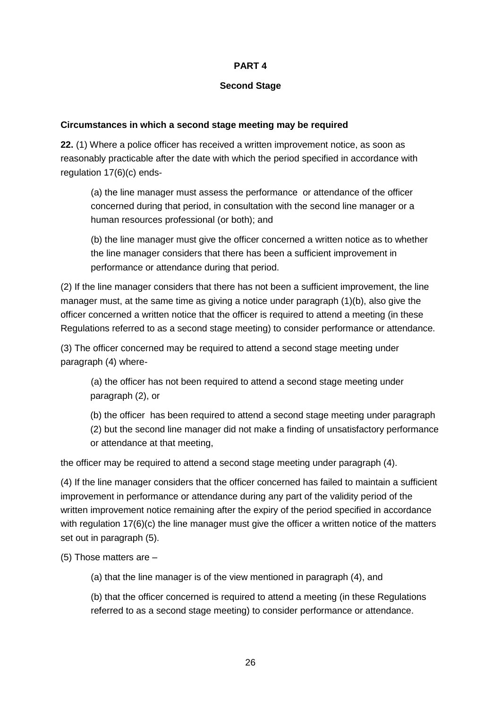### **PART 4**

#### **Second Stage**

#### **Circumstances in which a second stage meeting may be required**

**22.** (1) Where a police officer has received a written improvement notice, as soon as reasonably practicable after the date with which the period specified in accordance with regulation 17(6)(c) ends-

(a) the line manager must assess the performance or attendance of the officer concerned during that period, in consultation with the second line manager or a human resources professional (or both); and

(b) the line manager must give the officer concerned a written notice as to whether the line manager considers that there has been a sufficient improvement in performance or attendance during that period.

(2) If the line manager considers that there has not been a sufficient improvement, the line manager must, at the same time as giving a notice under paragraph (1)(b), also give the officer concerned a written notice that the officer is required to attend a meeting (in these Regulations referred to as a second stage meeting) to consider performance or attendance.

(3) The officer concerned may be required to attend a second stage meeting under paragraph (4) where-

(a) the officer has not been required to attend a second stage meeting under paragraph (2), or

(b) the officer has been required to attend a second stage meeting under paragraph

(2) but the second line manager did not make a finding of unsatisfactory performance or attendance at that meeting,

the officer may be required to attend a second stage meeting under paragraph (4).

(4) If the line manager considers that the officer concerned has failed to maintain a sufficient improvement in performance or attendance during any part of the validity period of the written improvement notice remaining after the expiry of the period specified in accordance with regulation 17(6)(c) the line manager must give the officer a written notice of the matters set out in paragraph (5).

(5) Those matters are –

(a) that the line manager is of the view mentioned in paragraph (4), and

(b) that the officer concerned is required to attend a meeting (in these Regulations referred to as a second stage meeting) to consider performance or attendance.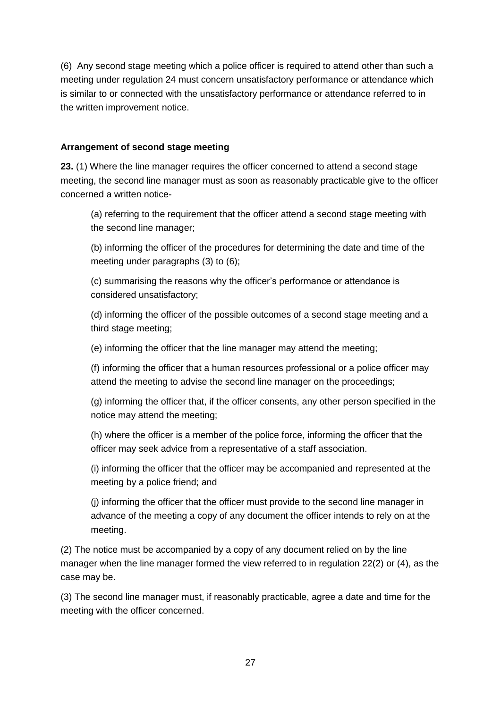(6) Any second stage meeting which a police officer is required to attend other than such a meeting under regulation 24 must concern unsatisfactory performance or attendance which is similar to or connected with the unsatisfactory performance or attendance referred to in the written improvement notice.

#### **Arrangement of second stage meeting**

**23.** (1) Where the line manager requires the officer concerned to attend a second stage meeting, the second line manager must as soon as reasonably practicable give to the officer concerned a written notice-

(a) referring to the requirement that the officer attend a second stage meeting with the second line manager;

(b) informing the officer of the procedures for determining the date and time of the meeting under paragraphs (3) to (6);

(c) summarising the reasons why the officer's performance or attendance is considered unsatisfactory;

(d) informing the officer of the possible outcomes of a second stage meeting and a third stage meeting;

(e) informing the officer that the line manager may attend the meeting;

(f) informing the officer that a human resources professional or a police officer may attend the meeting to advise the second line manager on the proceedings;

(g) informing the officer that, if the officer consents, any other person specified in the notice may attend the meeting;

(h) where the officer is a member of the police force, informing the officer that the officer may seek advice from a representative of a staff association.

(i) informing the officer that the officer may be accompanied and represented at the meeting by a police friend; and

(j) informing the officer that the officer must provide to the second line manager in advance of the meeting a copy of any document the officer intends to rely on at the meeting.

(2) The notice must be accompanied by a copy of any document relied on by the line manager when the line manager formed the view referred to in regulation 22(2) or (4), as the case may be.

(3) The second line manager must, if reasonably practicable, agree a date and time for the meeting with the officer concerned.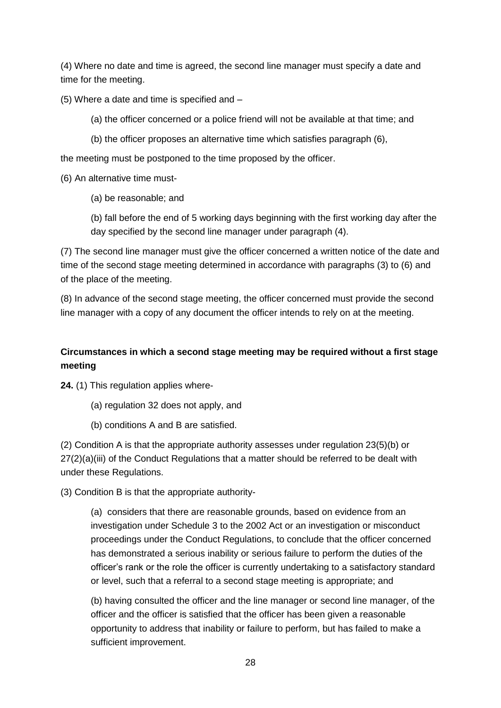(4) Where no date and time is agreed, the second line manager must specify a date and time for the meeting.

(5) Where a date and time is specified and –

- (a) the officer concerned or a police friend will not be available at that time; and
- (b) the officer proposes an alternative time which satisfies paragraph (6),

the meeting must be postponed to the time proposed by the officer.

(6) An alternative time must-

(a) be reasonable; and

(b) fall before the end of 5 working days beginning with the first working day after the day specified by the second line manager under paragraph (4).

(7) The second line manager must give the officer concerned a written notice of the date and time of the second stage meeting determined in accordance with paragraphs (3) to (6) and of the place of the meeting.

(8) In advance of the second stage meeting, the officer concerned must provide the second line manager with a copy of any document the officer intends to rely on at the meeting.

# **Circumstances in which a second stage meeting may be required without a first stage meeting**

**24.** (1) This regulation applies where-

- (a) regulation 32 does not apply, and
- (b) conditions A and B are satisfied.

(2) Condition A is that the appropriate authority assesses under regulation 23(5)(b) or 27(2)(a)(iii) of the Conduct Regulations that a matter should be referred to be dealt with under these Regulations.

(3) Condition B is that the appropriate authority-

(a) considers that there are reasonable grounds, based on evidence from an investigation under Schedule 3 to the 2002 Act or an investigation or misconduct proceedings under the Conduct Regulations, to conclude that the officer concerned has demonstrated a serious inability or serious failure to perform the duties of the officer's rank or the role the officer is currently undertaking to a satisfactory standard or level, such that a referral to a second stage meeting is appropriate; and

(b) having consulted the officer and the line manager or second line manager, of the officer and the officer is satisfied that the officer has been given a reasonable opportunity to address that inability or failure to perform, but has failed to make a sufficient improvement.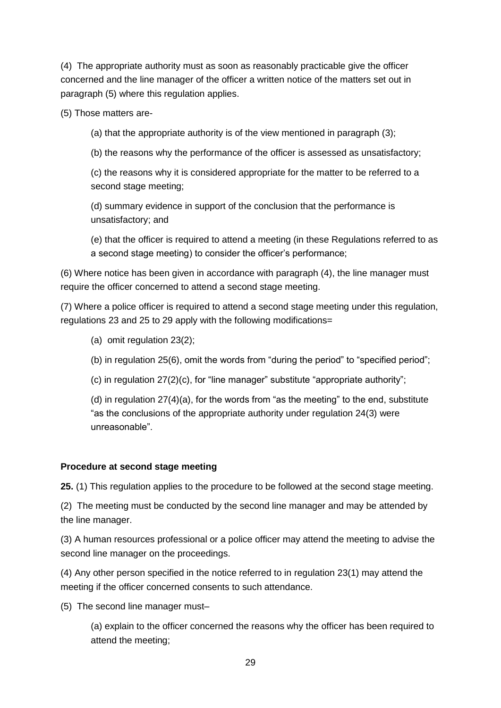(4) The appropriate authority must as soon as reasonably practicable give the officer concerned and the line manager of the officer a written notice of the matters set out in paragraph (5) where this regulation applies.

(5) Those matters are-

(a) that the appropriate authority is of the view mentioned in paragraph (3);

(b) the reasons why the performance of the officer is assessed as unsatisfactory;

(c) the reasons why it is considered appropriate for the matter to be referred to a second stage meeting;

(d) summary evidence in support of the conclusion that the performance is unsatisfactory; and

(e) that the officer is required to attend a meeting (in these Regulations referred to as a second stage meeting) to consider the officer's performance;

(6) Where notice has been given in accordance with paragraph (4), the line manager must require the officer concerned to attend a second stage meeting.

(7) Where a police officer is required to attend a second stage meeting under this regulation, regulations 23 and 25 to 29 apply with the following modifications=

- (a) omit regulation 23(2);
- (b) in regulation 25(6), omit the words from "during the period" to "specified period";
- (c) in regulation  $27(2)(c)$ , for "line manager" substitute "appropriate authority";

(d) in regulation 27(4)(a), for the words from "as the meeting" to the end, substitute "as the conclusions of the appropriate authority under regulation 24(3) were unreasonable".

### **Procedure at second stage meeting**

**25.** (1) This regulation applies to the procedure to be followed at the second stage meeting.

(2) The meeting must be conducted by the second line manager and may be attended by the line manager.

(3) A human resources professional or a police officer may attend the meeting to advise the second line manager on the proceedings.

(4) Any other person specified in the notice referred to in regulation 23(1) may attend the meeting if the officer concerned consents to such attendance.

(5) The second line manager must–

(a) explain to the officer concerned the reasons why the officer has been required to attend the meeting;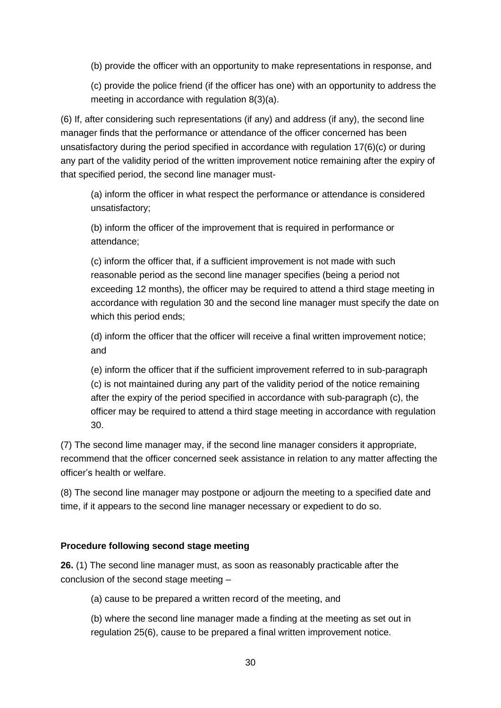(b) provide the officer with an opportunity to make representations in response, and

(c) provide the police friend (if the officer has one) with an opportunity to address the meeting in accordance with regulation 8(3)(a).

(6) If, after considering such representations (if any) and address (if any), the second line manager finds that the performance or attendance of the officer concerned has been unsatisfactory during the period specified in accordance with regulation 17(6)(c) or during any part of the validity period of the written improvement notice remaining after the expiry of that specified period, the second line manager must-

(a) inform the officer in what respect the performance or attendance is considered unsatisfactory;

(b) inform the officer of the improvement that is required in performance or attendance;

(c) inform the officer that, if a sufficient improvement is not made with such reasonable period as the second line manager specifies (being a period not exceeding 12 months), the officer may be required to attend a third stage meeting in accordance with regulation 30 and the second line manager must specify the date on which this period ends;

(d) inform the officer that the officer will receive a final written improvement notice; and

(e) inform the officer that if the sufficient improvement referred to in sub-paragraph (c) is not maintained during any part of the validity period of the notice remaining after the expiry of the period specified in accordance with sub-paragraph (c), the officer may be required to attend a third stage meeting in accordance with regulation 30.

(7) The second lime manager may, if the second line manager considers it appropriate, recommend that the officer concerned seek assistance in relation to any matter affecting the officer's health or welfare.

(8) The second line manager may postpone or adjourn the meeting to a specified date and time, if it appears to the second line manager necessary or expedient to do so.

### **Procedure following second stage meeting**

**26.** (1) The second line manager must, as soon as reasonably practicable after the conclusion of the second stage meeting –

(a) cause to be prepared a written record of the meeting, and

(b) where the second line manager made a finding at the meeting as set out in regulation 25(6), cause to be prepared a final written improvement notice.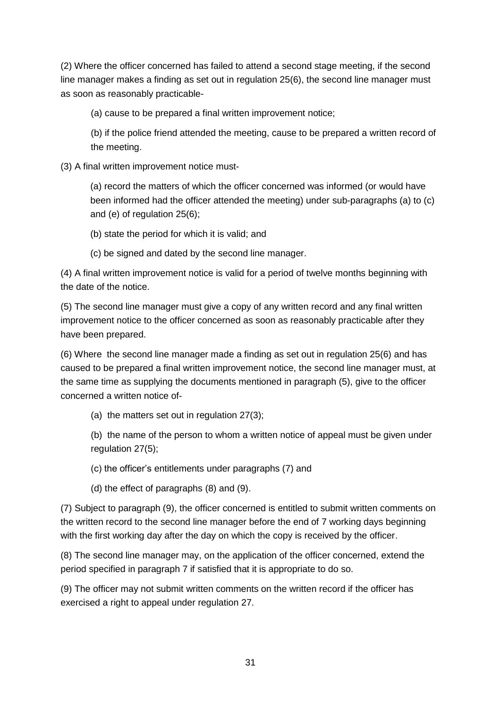(2) Where the officer concerned has failed to attend a second stage meeting, if the second line manager makes a finding as set out in regulation 25(6), the second line manager must as soon as reasonably practicable-

(a) cause to be prepared a final written improvement notice;

(b) if the police friend attended the meeting, cause to be prepared a written record of the meeting.

(3) A final written improvement notice must-

(a) record the matters of which the officer concerned was informed (or would have been informed had the officer attended the meeting) under sub-paragraphs (a) to (c) and (e) of regulation 25(6);

(b) state the period for which it is valid; and

(c) be signed and dated by the second line manager.

(4) A final written improvement notice is valid for a period of twelve months beginning with the date of the notice.

(5) The second line manager must give a copy of any written record and any final written improvement notice to the officer concerned as soon as reasonably practicable after they have been prepared.

(6) Where the second line manager made a finding as set out in regulation 25(6) and has caused to be prepared a final written improvement notice, the second line manager must, at the same time as supplying the documents mentioned in paragraph (5), give to the officer concerned a written notice of-

(a) the matters set out in regulation 27(3);

(b) the name of the person to whom a written notice of appeal must be given under regulation 27(5);

(c) the officer's entitlements under paragraphs (7) and

(d) the effect of paragraphs (8) and (9).

(7) Subject to paragraph (9), the officer concerned is entitled to submit written comments on the written record to the second line manager before the end of 7 working days beginning with the first working day after the day on which the copy is received by the officer.

(8) The second line manager may, on the application of the officer concerned, extend the period specified in paragraph 7 if satisfied that it is appropriate to do so.

(9) The officer may not submit written comments on the written record if the officer has exercised a right to appeal under regulation 27.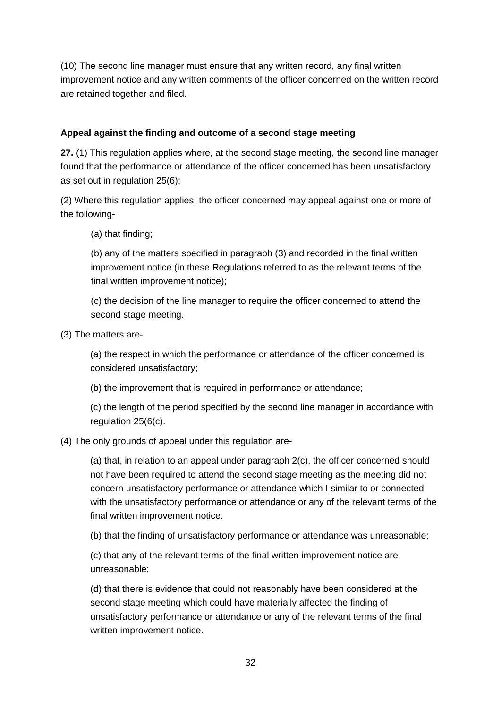(10) The second line manager must ensure that any written record, any final written improvement notice and any written comments of the officer concerned on the written record are retained together and filed.

### **Appeal against the finding and outcome of a second stage meeting**

**27.** (1) This regulation applies where, at the second stage meeting, the second line manager found that the performance or attendance of the officer concerned has been unsatisfactory as set out in regulation 25(6);

(2) Where this regulation applies, the officer concerned may appeal against one or more of the following-

(a) that finding;

(b) any of the matters specified in paragraph (3) and recorded in the final written improvement notice (in these Regulations referred to as the relevant terms of the final written improvement notice);

(c) the decision of the line manager to require the officer concerned to attend the second stage meeting.

(3) The matters are-

(a) the respect in which the performance or attendance of the officer concerned is considered unsatisfactory;

(b) the improvement that is required in performance or attendance;

(c) the length of the period specified by the second line manager in accordance with regulation 25(6(c).

(4) The only grounds of appeal under this regulation are-

(a) that, in relation to an appeal under paragraph 2(c), the officer concerned should not have been required to attend the second stage meeting as the meeting did not concern unsatisfactory performance or attendance which I similar to or connected with the unsatisfactory performance or attendance or any of the relevant terms of the final written improvement notice.

(b) that the finding of unsatisfactory performance or attendance was unreasonable;

(c) that any of the relevant terms of the final written improvement notice are unreasonable;

(d) that there is evidence that could not reasonably have been considered at the second stage meeting which could have materially affected the finding of unsatisfactory performance or attendance or any of the relevant terms of the final written improvement notice.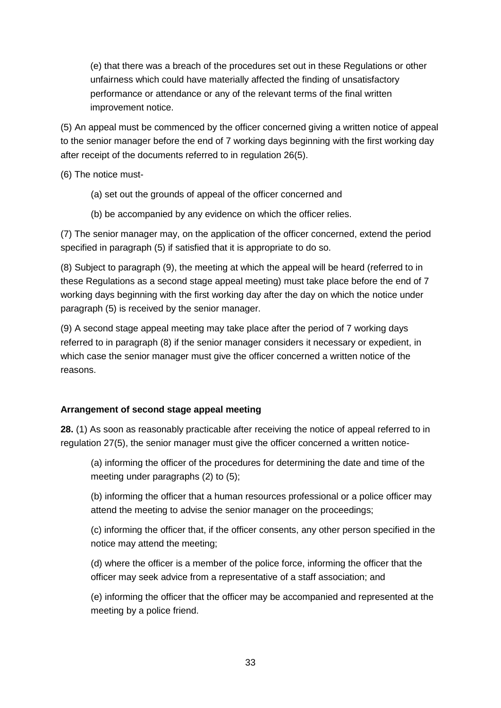(e) that there was a breach of the procedures set out in these Regulations or other unfairness which could have materially affected the finding of unsatisfactory performance or attendance or any of the relevant terms of the final written improvement notice.

(5) An appeal must be commenced by the officer concerned giving a written notice of appeal to the senior manager before the end of 7 working days beginning with the first working day after receipt of the documents referred to in regulation 26(5).

(6) The notice must-

- (a) set out the grounds of appeal of the officer concerned and
- (b) be accompanied by any evidence on which the officer relies.

(7) The senior manager may, on the application of the officer concerned, extend the period specified in paragraph (5) if satisfied that it is appropriate to do so.

(8) Subject to paragraph (9), the meeting at which the appeal will be heard (referred to in these Regulations as a second stage appeal meeting) must take place before the end of 7 working days beginning with the first working day after the day on which the notice under paragraph (5) is received by the senior manager.

(9) A second stage appeal meeting may take place after the period of 7 working days referred to in paragraph (8) if the senior manager considers it necessary or expedient, in which case the senior manager must give the officer concerned a written notice of the reasons.

### **Arrangement of second stage appeal meeting**

**28.** (1) As soon as reasonably practicable after receiving the notice of appeal referred to in regulation 27(5), the senior manager must give the officer concerned a written notice-

(a) informing the officer of the procedures for determining the date and time of the meeting under paragraphs (2) to (5);

(b) informing the officer that a human resources professional or a police officer may attend the meeting to advise the senior manager on the proceedings;

(c) informing the officer that, if the officer consents, any other person specified in the notice may attend the meeting;

(d) where the officer is a member of the police force, informing the officer that the officer may seek advice from a representative of a staff association; and

(e) informing the officer that the officer may be accompanied and represented at the meeting by a police friend.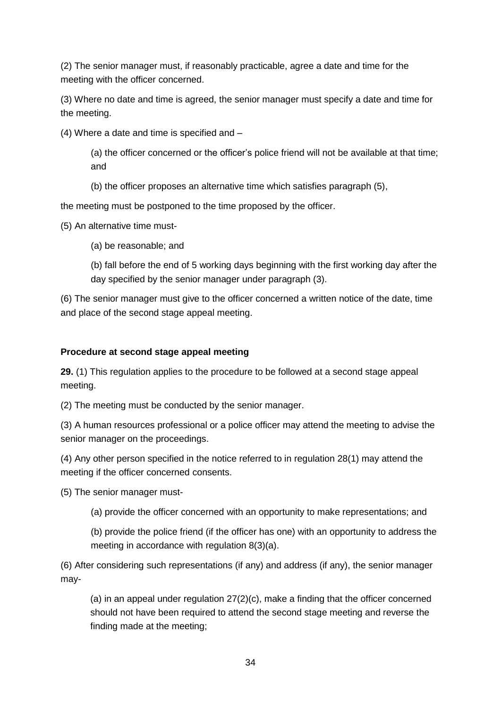(2) The senior manager must, if reasonably practicable, agree a date and time for the meeting with the officer concerned.

(3) Where no date and time is agreed, the senior manager must specify a date and time for the meeting.

(4) Where a date and time is specified and –

(a) the officer concerned or the officer's police friend will not be available at that time; and

(b) the officer proposes an alternative time which satisfies paragraph (5),

the meeting must be postponed to the time proposed by the officer.

(5) An alternative time must-

(a) be reasonable; and

(b) fall before the end of 5 working days beginning with the first working day after the day specified by the senior manager under paragraph (3).

(6) The senior manager must give to the officer concerned a written notice of the date, time and place of the second stage appeal meeting.

# **Procedure at second stage appeal meeting**

**29.** (1) This regulation applies to the procedure to be followed at a second stage appeal meeting.

(2) The meeting must be conducted by the senior manager.

(3) A human resources professional or a police officer may attend the meeting to advise the senior manager on the proceedings.

(4) Any other person specified in the notice referred to in regulation 28(1) may attend the meeting if the officer concerned consents.

(5) The senior manager must-

(a) provide the officer concerned with an opportunity to make representations; and

(b) provide the police friend (if the officer has one) with an opportunity to address the meeting in accordance with regulation 8(3)(a).

(6) After considering such representations (if any) and address (if any), the senior manager may-

(a) in an appeal under regulation 27(2)(c), make a finding that the officer concerned should not have been required to attend the second stage meeting and reverse the finding made at the meeting;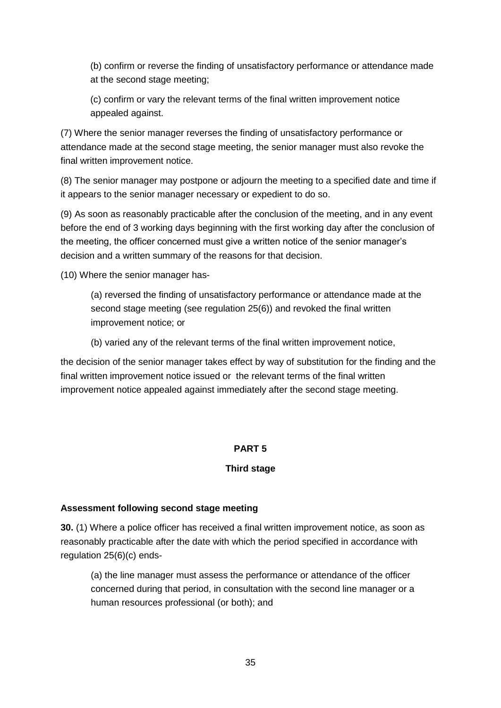(b) confirm or reverse the finding of unsatisfactory performance or attendance made at the second stage meeting;

(c) confirm or vary the relevant terms of the final written improvement notice appealed against.

(7) Where the senior manager reverses the finding of unsatisfactory performance or attendance made at the second stage meeting, the senior manager must also revoke the final written improvement notice.

(8) The senior manager may postpone or adjourn the meeting to a specified date and time if it appears to the senior manager necessary or expedient to do so.

(9) As soon as reasonably practicable after the conclusion of the meeting, and in any event before the end of 3 working days beginning with the first working day after the conclusion of the meeting, the officer concerned must give a written notice of the senior manager's decision and a written summary of the reasons for that decision.

(10) Where the senior manager has-

(a) reversed the finding of unsatisfactory performance or attendance made at the second stage meeting (see regulation 25(6)) and revoked the final written improvement notice; or

(b) varied any of the relevant terms of the final written improvement notice,

the decision of the senior manager takes effect by way of substitution for the finding and the final written improvement notice issued or the relevant terms of the final written improvement notice appealed against immediately after the second stage meeting.

### **PART 5**

### **Third stage**

### **Assessment following second stage meeting**

**30.** (1) Where a police officer has received a final written improvement notice, as soon as reasonably practicable after the date with which the period specified in accordance with regulation 25(6)(c) ends-

(a) the line manager must assess the performance or attendance of the officer concerned during that period, in consultation with the second line manager or a human resources professional (or both); and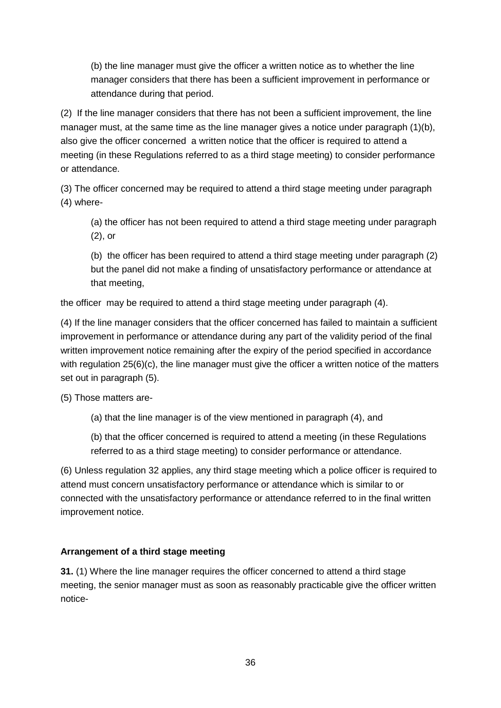(b) the line manager must give the officer a written notice as to whether the line manager considers that there has been a sufficient improvement in performance or attendance during that period.

(2) If the line manager considers that there has not been a sufficient improvement, the line manager must, at the same time as the line manager gives a notice under paragraph (1)(b), also give the officer concerned a written notice that the officer is required to attend a meeting (in these Regulations referred to as a third stage meeting) to consider performance or attendance.

(3) The officer concerned may be required to attend a third stage meeting under paragraph (4) where-

(a) the officer has not been required to attend a third stage meeting under paragraph (2), or

(b) the officer has been required to attend a third stage meeting under paragraph (2) but the panel did not make a finding of unsatisfactory performance or attendance at that meeting,

the officer may be required to attend a third stage meeting under paragraph (4).

(4) If the line manager considers that the officer concerned has failed to maintain a sufficient improvement in performance or attendance during any part of the validity period of the final written improvement notice remaining after the expiry of the period specified in accordance with regulation 25(6)(c), the line manager must give the officer a written notice of the matters set out in paragraph (5).

(5) Those matters are-

(a) that the line manager is of the view mentioned in paragraph (4), and

(b) that the officer concerned is required to attend a meeting (in these Regulations referred to as a third stage meeting) to consider performance or attendance.

(6) Unless regulation 32 applies, any third stage meeting which a police officer is required to attend must concern unsatisfactory performance or attendance which is similar to or connected with the unsatisfactory performance or attendance referred to in the final written improvement notice.

# **Arrangement of a third stage meeting**

**31.** (1) Where the line manager requires the officer concerned to attend a third stage meeting, the senior manager must as soon as reasonably practicable give the officer written notice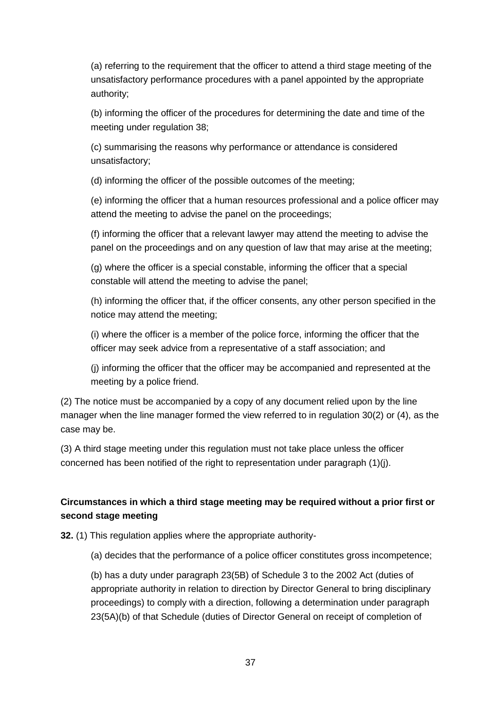(a) referring to the requirement that the officer to attend a third stage meeting of the unsatisfactory performance procedures with a panel appointed by the appropriate authority;

(b) informing the officer of the procedures for determining the date and time of the meeting under regulation 38;

(c) summarising the reasons why performance or attendance is considered unsatisfactory;

(d) informing the officer of the possible outcomes of the meeting;

(e) informing the officer that a human resources professional and a police officer may attend the meeting to advise the panel on the proceedings;

(f) informing the officer that a relevant lawyer may attend the meeting to advise the panel on the proceedings and on any question of law that may arise at the meeting;

(g) where the officer is a special constable, informing the officer that a special constable will attend the meeting to advise the panel;

(h) informing the officer that, if the officer consents, any other person specified in the notice may attend the meeting;

(i) where the officer is a member of the police force, informing the officer that the officer may seek advice from a representative of a staff association; and

(j) informing the officer that the officer may be accompanied and represented at the meeting by a police friend.

(2) The notice must be accompanied by a copy of any document relied upon by the line manager when the line manager formed the view referred to in regulation 30(2) or (4), as the case may be.

(3) A third stage meeting under this regulation must not take place unless the officer concerned has been notified of the right to representation under paragraph (1)(j).

# **Circumstances in which a third stage meeting may be required without a prior first or second stage meeting**

**32.** (1) This regulation applies where the appropriate authority-

(a) decides that the performance of a police officer constitutes gross incompetence;

(b) has a duty under paragraph 23(5B) of Schedule 3 to the 2002 Act (duties of appropriate authority in relation to direction by Director General to bring disciplinary proceedings) to comply with a direction, following a determination under paragraph 23(5A)(b) of that Schedule (duties of Director General on receipt of completion of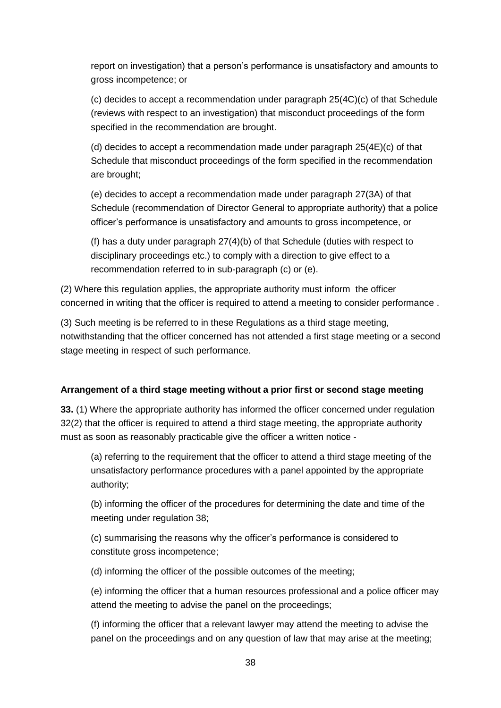report on investigation) that a person's performance is unsatisfactory and amounts to gross incompetence; or

(c) decides to accept a recommendation under paragraph 25(4C)(c) of that Schedule (reviews with respect to an investigation) that misconduct proceedings of the form specified in the recommendation are brought.

(d) decides to accept a recommendation made under paragraph 25(4E)(c) of that Schedule that misconduct proceedings of the form specified in the recommendation are brought;

(e) decides to accept a recommendation made under paragraph 27(3A) of that Schedule (recommendation of Director General to appropriate authority) that a police officer's performance is unsatisfactory and amounts to gross incompetence, or

(f) has a duty under paragraph 27(4)(b) of that Schedule (duties with respect to disciplinary proceedings etc.) to comply with a direction to give effect to a recommendation referred to in sub-paragraph (c) or (e).

(2) Where this regulation applies, the appropriate authority must inform the officer concerned in writing that the officer is required to attend a meeting to consider performance .

(3) Such meeting is be referred to in these Regulations as a third stage meeting, notwithstanding that the officer concerned has not attended a first stage meeting or a second stage meeting in respect of such performance.

### **Arrangement of a third stage meeting without a prior first or second stage meeting**

**33.** (1) Where the appropriate authority has informed the officer concerned under regulation 32(2) that the officer is required to attend a third stage meeting, the appropriate authority must as soon as reasonably practicable give the officer a written notice -

(a) referring to the requirement that the officer to attend a third stage meeting of the unsatisfactory performance procedures with a panel appointed by the appropriate authority;

(b) informing the officer of the procedures for determining the date and time of the meeting under regulation 38;

(c) summarising the reasons why the officer's performance is considered to constitute gross incompetence;

(d) informing the officer of the possible outcomes of the meeting;

(e) informing the officer that a human resources professional and a police officer may attend the meeting to advise the panel on the proceedings;

(f) informing the officer that a relevant lawyer may attend the meeting to advise the panel on the proceedings and on any question of law that may arise at the meeting;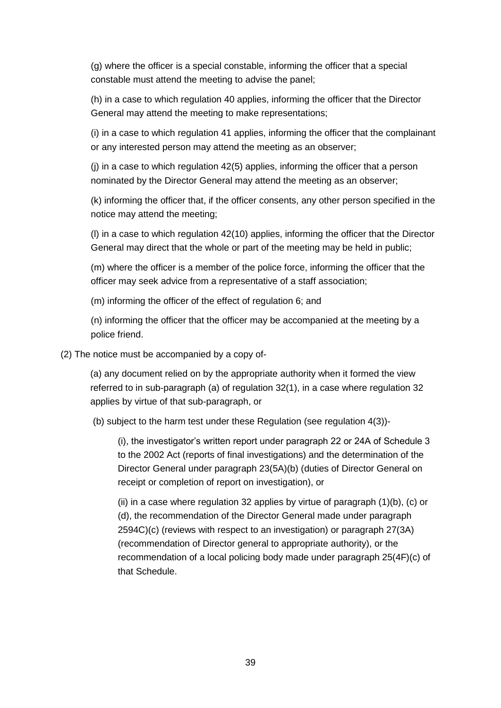(g) where the officer is a special constable, informing the officer that a special constable must attend the meeting to advise the panel;

(h) in a case to which regulation 40 applies, informing the officer that the Director General may attend the meeting to make representations;

(i) in a case to which regulation 41 applies, informing the officer that the complainant or any interested person may attend the meeting as an observer;

(j) in a case to which regulation 42(5) applies, informing the officer that a person nominated by the Director General may attend the meeting as an observer;

(k) informing the officer that, if the officer consents, any other person specified in the notice may attend the meeting;

(l) in a case to which regulation 42(10) applies, informing the officer that the Director General may direct that the whole or part of the meeting may be held in public;

(m) where the officer is a member of the police force, informing the officer that the officer may seek advice from a representative of a staff association;

(m) informing the officer of the effect of regulation 6; and

(n) informing the officer that the officer may be accompanied at the meeting by a police friend.

(2) The notice must be accompanied by a copy of-

(a) any document relied on by the appropriate authority when it formed the view referred to in sub-paragraph (a) of regulation 32(1), in a case where regulation 32 applies by virtue of that sub-paragraph, or

(b) subject to the harm test under these Regulation (see regulation 4(3))-

(i), the investigator's written report under paragraph 22 or 24A of Schedule 3 to the 2002 Act (reports of final investigations) and the determination of the Director General under paragraph 23(5A)(b) (duties of Director General on receipt or completion of report on investigation), or

(ii) in a case where regulation 32 applies by virtue of paragraph (1)(b), (c) or (d), the recommendation of the Director General made under paragraph 2594C)(c) (reviews with respect to an investigation) or paragraph 27(3A) (recommendation of Director general to appropriate authority), or the recommendation of a local policing body made under paragraph 25(4F)(c) of that Schedule.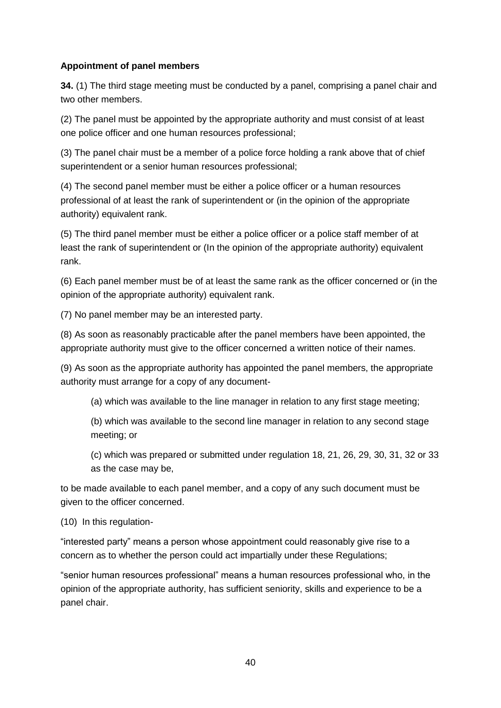### **Appointment of panel members**

**34.** (1) The third stage meeting must be conducted by a panel, comprising a panel chair and two other members.

(2) The panel must be appointed by the appropriate authority and must consist of at least one police officer and one human resources professional;

(3) The panel chair must be a member of a police force holding a rank above that of chief superintendent or a senior human resources professional;

(4) The second panel member must be either a police officer or a human resources professional of at least the rank of superintendent or (in the opinion of the appropriate authority) equivalent rank.

(5) The third panel member must be either a police officer or a police staff member of at least the rank of superintendent or (In the opinion of the appropriate authority) equivalent rank.

(6) Each panel member must be of at least the same rank as the officer concerned or (in the opinion of the appropriate authority) equivalent rank.

(7) No panel member may be an interested party.

(8) As soon as reasonably practicable after the panel members have been appointed, the appropriate authority must give to the officer concerned a written notice of their names.

(9) As soon as the appropriate authority has appointed the panel members, the appropriate authority must arrange for a copy of any document-

(a) which was available to the line manager in relation to any first stage meeting;

(b) which was available to the second line manager in relation to any second stage meeting; or

(c) which was prepared or submitted under regulation 18, 21, 26, 29, 30, 31, 32 or 33 as the case may be,

to be made available to each panel member, and a copy of any such document must be given to the officer concerned.

(10) In this regulation-

"interested party" means a person whose appointment could reasonably give rise to a concern as to whether the person could act impartially under these Regulations;

"senior human resources professional" means a human resources professional who, in the opinion of the appropriate authority, has sufficient seniority, skills and experience to be a panel chair.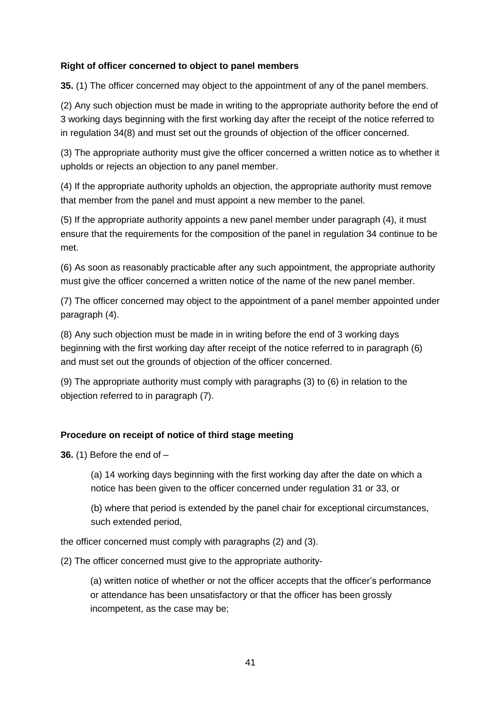#### **Right of officer concerned to object to panel members**

**35.** (1) The officer concerned may object to the appointment of any of the panel members.

(2) Any such objection must be made in writing to the appropriate authority before the end of 3 working days beginning with the first working day after the receipt of the notice referred to in regulation 34(8) and must set out the grounds of objection of the officer concerned.

(3) The appropriate authority must give the officer concerned a written notice as to whether it upholds or rejects an objection to any panel member.

(4) If the appropriate authority upholds an objection, the appropriate authority must remove that member from the panel and must appoint a new member to the panel.

(5) If the appropriate authority appoints a new panel member under paragraph (4), it must ensure that the requirements for the composition of the panel in regulation 34 continue to be met.

(6) As soon as reasonably practicable after any such appointment, the appropriate authority must give the officer concerned a written notice of the name of the new panel member.

(7) The officer concerned may object to the appointment of a panel member appointed under paragraph (4).

(8) Any such objection must be made in in writing before the end of 3 working days beginning with the first working day after receipt of the notice referred to in paragraph (6) and must set out the grounds of objection of the officer concerned.

(9) The appropriate authority must comply with paragraphs (3) to (6) in relation to the objection referred to in paragraph (7).

### **Procedure on receipt of notice of third stage meeting**

**36.** (1) Before the end of –

(a) 14 working days beginning with the first working day after the date on which a notice has been given to the officer concerned under regulation 31 or 33, or

(b) where that period is extended by the panel chair for exceptional circumstances, such extended period,

the officer concerned must comply with paragraphs (2) and (3).

(2) The officer concerned must give to the appropriate authority-

(a) written notice of whether or not the officer accepts that the officer's performance or attendance has been unsatisfactory or that the officer has been grossly incompetent, as the case may be;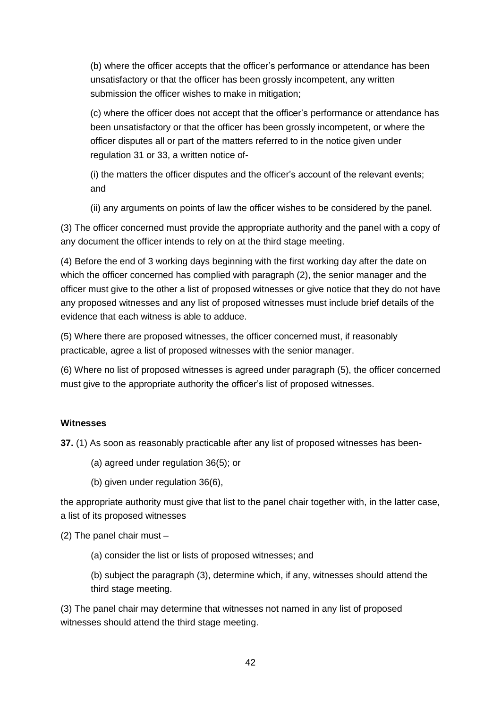(b) where the officer accepts that the officer's performance or attendance has been unsatisfactory or that the officer has been grossly incompetent, any written submission the officer wishes to make in mitigation;

(c) where the officer does not accept that the officer's performance or attendance has been unsatisfactory or that the officer has been grossly incompetent, or where the officer disputes all or part of the matters referred to in the notice given under regulation 31 or 33, a written notice of-

(i) the matters the officer disputes and the officer's account of the relevant events; and

(ii) any arguments on points of law the officer wishes to be considered by the panel.

(3) The officer concerned must provide the appropriate authority and the panel with a copy of any document the officer intends to rely on at the third stage meeting.

(4) Before the end of 3 working days beginning with the first working day after the date on which the officer concerned has complied with paragraph (2), the senior manager and the officer must give to the other a list of proposed witnesses or give notice that they do not have any proposed witnesses and any list of proposed witnesses must include brief details of the evidence that each witness is able to adduce.

(5) Where there are proposed witnesses, the officer concerned must, if reasonably practicable, agree a list of proposed witnesses with the senior manager.

(6) Where no list of proposed witnesses is agreed under paragraph (5), the officer concerned must give to the appropriate authority the officer's list of proposed witnesses.

# **Witnesses**

**37.** (1) As soon as reasonably practicable after any list of proposed witnesses has been-

- (a) agreed under regulation 36(5); or
- (b) given under regulation 36(6),

the appropriate authority must give that list to the panel chair together with, in the latter case, a list of its proposed witnesses

(2) The panel chair must –

(a) consider the list or lists of proposed witnesses; and

(b) subject the paragraph (3), determine which, if any, witnesses should attend the third stage meeting.

(3) The panel chair may determine that witnesses not named in any list of proposed witnesses should attend the third stage meeting.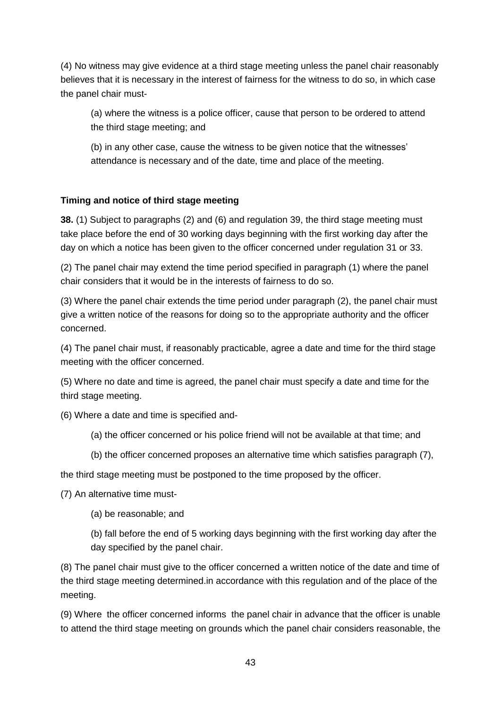(4) No witness may give evidence at a third stage meeting unless the panel chair reasonably believes that it is necessary in the interest of fairness for the witness to do so, in which case the panel chair must-

(a) where the witness is a police officer, cause that person to be ordered to attend the third stage meeting; and

(b) in any other case, cause the witness to be given notice that the witnesses' attendance is necessary and of the date, time and place of the meeting.

### **Timing and notice of third stage meeting**

**38.** (1) Subject to paragraphs (2) and (6) and regulation 39, the third stage meeting must take place before the end of 30 working days beginning with the first working day after the day on which a notice has been given to the officer concerned under regulation 31 or 33.

(2) The panel chair may extend the time period specified in paragraph (1) where the panel chair considers that it would be in the interests of fairness to do so.

(3) Where the panel chair extends the time period under paragraph (2), the panel chair must give a written notice of the reasons for doing so to the appropriate authority and the officer concerned.

(4) The panel chair must, if reasonably practicable, agree a date and time for the third stage meeting with the officer concerned.

(5) Where no date and time is agreed, the panel chair must specify a date and time for the third stage meeting.

(6) Where a date and time is specified and-

- (a) the officer concerned or his police friend will not be available at that time; and
- (b) the officer concerned proposes an alternative time which satisfies paragraph (7),

the third stage meeting must be postponed to the time proposed by the officer.

(7) An alternative time must-

(a) be reasonable; and

(b) fall before the end of 5 working days beginning with the first working day after the day specified by the panel chair.

(8) The panel chair must give to the officer concerned a written notice of the date and time of the third stage meeting determined.in accordance with this regulation and of the place of the meeting.

(9) Where the officer concerned informs the panel chair in advance that the officer is unable to attend the third stage meeting on grounds which the panel chair considers reasonable, the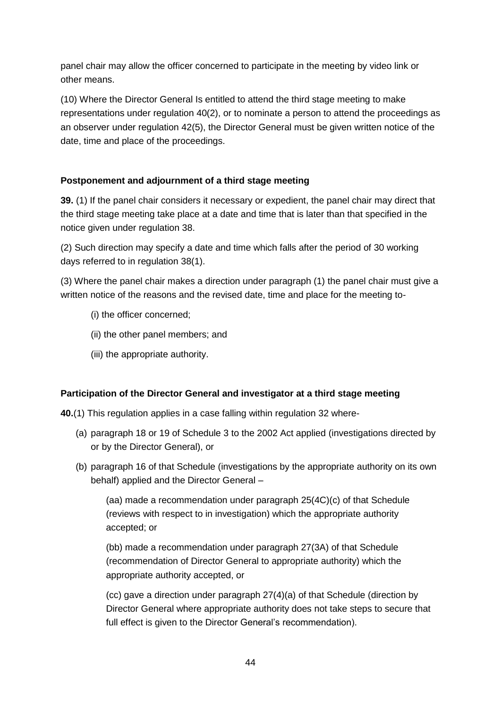panel chair may allow the officer concerned to participate in the meeting by video link or other means.

(10) Where the Director General Is entitled to attend the third stage meeting to make representations under regulation 40(2), or to nominate a person to attend the proceedings as an observer under regulation 42(5), the Director General must be given written notice of the date, time and place of the proceedings.

# **Postponement and adjournment of a third stage meeting**

**39.** (1) If the panel chair considers it necessary or expedient, the panel chair may direct that the third stage meeting take place at a date and time that is later than that specified in the notice given under regulation 38.

(2) Such direction may specify a date and time which falls after the period of 30 working days referred to in regulation 38(1).

(3) Where the panel chair makes a direction under paragraph (1) the panel chair must give a written notice of the reasons and the revised date, time and place for the meeting to-

- (i) the officer concerned;
- (ii) the other panel members; and
- (iii) the appropriate authority.

# **Participation of the Director General and investigator at a third stage meeting**

**40.**(1) This regulation applies in a case falling within regulation 32 where-

- (a) paragraph 18 or 19 of Schedule 3 to the 2002 Act applied (investigations directed by or by the Director General), or
- (b) paragraph 16 of that Schedule (investigations by the appropriate authority on its own behalf) applied and the Director General –

(aa) made a recommendation under paragraph 25(4C)(c) of that Schedule (reviews with respect to in investigation) which the appropriate authority accepted; or

(bb) made a recommendation under paragraph 27(3A) of that Schedule (recommendation of Director General to appropriate authority) which the appropriate authority accepted, or

(cc) gave a direction under paragraph 27(4)(a) of that Schedule (direction by Director General where appropriate authority does not take steps to secure that full effect is given to the Director General's recommendation).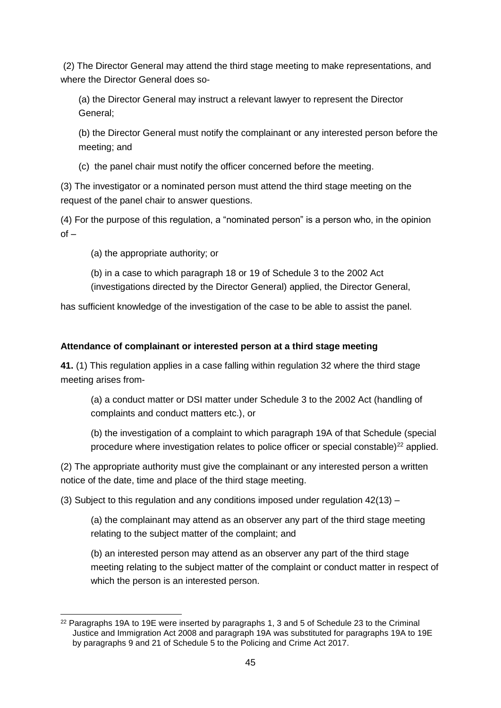(2) The Director General may attend the third stage meeting to make representations, and where the Director General does so-

(a) the Director General may instruct a relevant lawyer to represent the Director General;

(b) the Director General must notify the complainant or any interested person before the meeting; and

(c) the panel chair must notify the officer concerned before the meeting.

(3) The investigator or a nominated person must attend the third stage meeting on the request of the panel chair to answer questions.

(4) For the purpose of this regulation, a "nominated person" is a person who, in the opinion  $of -$ 

(a) the appropriate authority; or

(b) in a case to which paragraph 18 or 19 of Schedule 3 to the 2002 Act (investigations directed by the Director General) applied, the Director General,

has sufficient knowledge of the investigation of the case to be able to assist the panel.

# **Attendance of complainant or interested person at a third stage meeting**

**41.** (1) This regulation applies in a case falling within regulation 32 where the third stage meeting arises from-

(a) a conduct matter or DSI matter under Schedule 3 to the 2002 Act (handling of complaints and conduct matters etc.), or

(b) the investigation of a complaint to which paragraph 19A of that Schedule (special procedure where investigation relates to police officer or special constable) $^{22}$  applied.

(2) The appropriate authority must give the complainant or any interested person a written notice of the date, time and place of the third stage meeting.

(3) Subject to this regulation and any conditions imposed under regulation 42(13) –

(a) the complainant may attend as an observer any part of the third stage meeting relating to the subject matter of the complaint; and

(b) an interested person may attend as an observer any part of the third stage meeting relating to the subject matter of the complaint or conduct matter in respect of which the person is an interested person.

<sup>-</sup> $22$  Paragraphs 19A to 19E were inserted by paragraphs 1, 3 and 5 of Schedule 23 to the Criminal Justice and Immigration Act 2008 and paragraph 19A was substituted for paragraphs 19A to 19E by paragraphs 9 and 21 of Schedule 5 to the Policing and Crime Act 2017.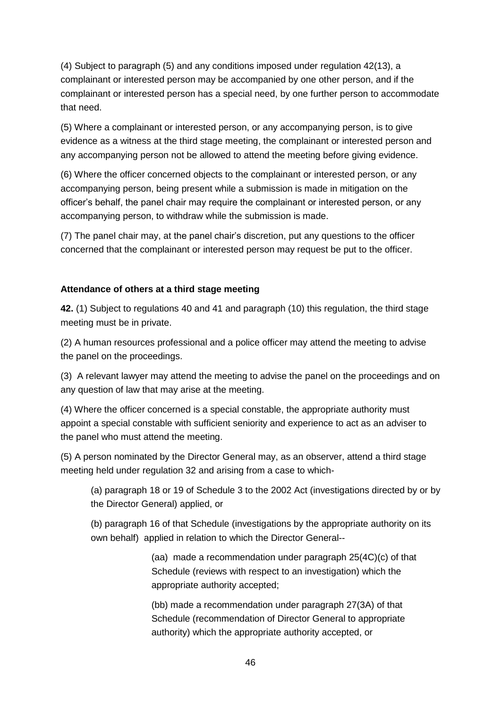(4) Subject to paragraph (5) and any conditions imposed under regulation 42(13), a complainant or interested person may be accompanied by one other person, and if the complainant or interested person has a special need, by one further person to accommodate that need.

(5) Where a complainant or interested person, or any accompanying person, is to give evidence as a witness at the third stage meeting, the complainant or interested person and any accompanying person not be allowed to attend the meeting before giving evidence.

(6) Where the officer concerned objects to the complainant or interested person, or any accompanying person, being present while a submission is made in mitigation on the officer's behalf, the panel chair may require the complainant or interested person, or any accompanying person, to withdraw while the submission is made.

(7) The panel chair may, at the panel chair's discretion, put any questions to the officer concerned that the complainant or interested person may request be put to the officer.

### **Attendance of others at a third stage meeting**

**42.** (1) Subject to regulations 40 and 41 and paragraph (10) this regulation, the third stage meeting must be in private.

(2) A human resources professional and a police officer may attend the meeting to advise the panel on the proceedings.

(3) A relevant lawyer may attend the meeting to advise the panel on the proceedings and on any question of law that may arise at the meeting.

(4) Where the officer concerned is a special constable, the appropriate authority must appoint a special constable with sufficient seniority and experience to act as an adviser to the panel who must attend the meeting.

(5) A person nominated by the Director General may, as an observer, attend a third stage meeting held under regulation 32 and arising from a case to which-

(a) paragraph 18 or 19 of Schedule 3 to the 2002 Act (investigations directed by or by the Director General) applied, or

(b) paragraph 16 of that Schedule (investigations by the appropriate authority on its own behalf) applied in relation to which the Director General--

> (aa) made a recommendation under paragraph 25(4C)(c) of that Schedule (reviews with respect to an investigation) which the appropriate authority accepted;

(bb) made a recommendation under paragraph 27(3A) of that Schedule (recommendation of Director General to appropriate authority) which the appropriate authority accepted, or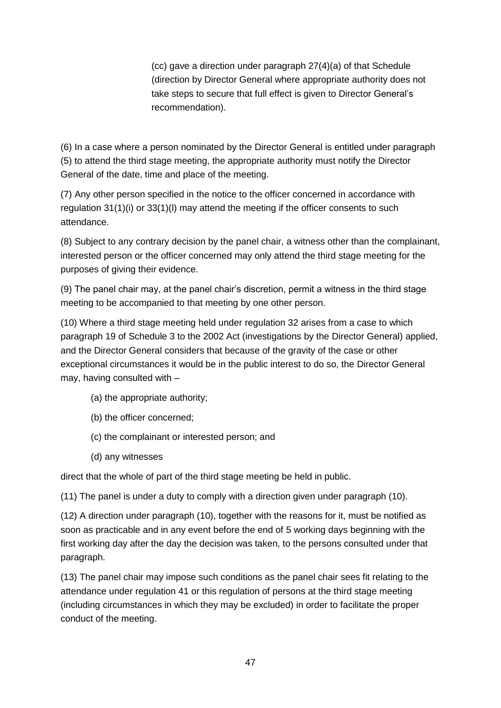(cc) gave a direction under paragraph 27(4)(a) of that Schedule (direction by Director General where appropriate authority does not take steps to secure that full effect is given to Director General's recommendation).

(6) In a case where a person nominated by the Director General is entitled under paragraph (5) to attend the third stage meeting, the appropriate authority must notify the Director General of the date, time and place of the meeting.

(7) Any other person specified in the notice to the officer concerned in accordance with regulation 31(1)(i) or 33(1)(l) may attend the meeting if the officer consents to such attendance.

(8) Subject to any contrary decision by the panel chair, a witness other than the complainant, interested person or the officer concerned may only attend the third stage meeting for the purposes of giving their evidence.

(9) The panel chair may, at the panel chair's discretion, permit a witness in the third stage meeting to be accompanied to that meeting by one other person.

(10) Where a third stage meeting held under regulation 32 arises from a case to which paragraph 19 of Schedule 3 to the 2002 Act (investigations by the Director General) applied, and the Director General considers that because of the gravity of the case or other exceptional circumstances it would be in the public interest to do so, the Director General may, having consulted with –

- (a) the appropriate authority;
- (b) the officer concerned;
- (c) the complainant or interested person; and
- (d) any witnesses

direct that the whole of part of the third stage meeting be held in public.

(11) The panel is under a duty to comply with a direction given under paragraph (10).

(12) A direction under paragraph (10), together with the reasons for it, must be notified as soon as practicable and in any event before the end of 5 working days beginning with the first working day after the day the decision was taken, to the persons consulted under that paragraph.

(13) The panel chair may impose such conditions as the panel chair sees fit relating to the attendance under regulation 41 or this regulation of persons at the third stage meeting (including circumstances in which they may be excluded) in order to facilitate the proper conduct of the meeting.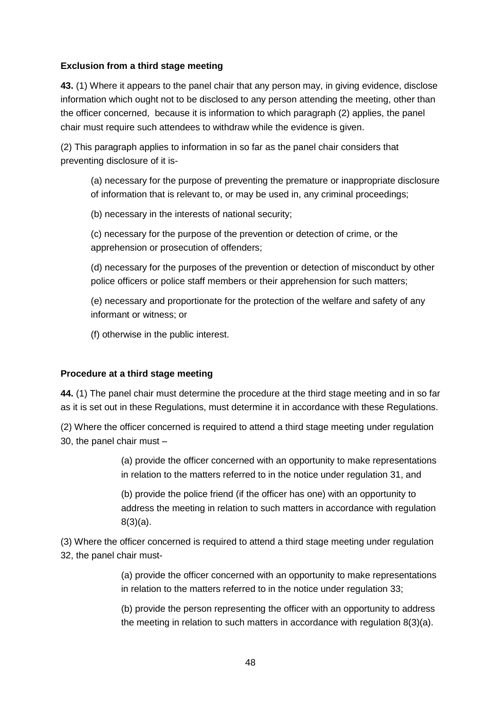#### **Exclusion from a third stage meeting**

**43.** (1) Where it appears to the panel chair that any person may, in giving evidence, disclose information which ought not to be disclosed to any person attending the meeting, other than the officer concerned, because it is information to which paragraph (2) applies, the panel chair must require such attendees to withdraw while the evidence is given.

(2) This paragraph applies to information in so far as the panel chair considers that preventing disclosure of it is-

(a) necessary for the purpose of preventing the premature or inappropriate disclosure of information that is relevant to, or may be used in, any criminal proceedings;

(b) necessary in the interests of national security;

(c) necessary for the purpose of the prevention or detection of crime, or the apprehension or prosecution of offenders;

(d) necessary for the purposes of the prevention or detection of misconduct by other police officers or police staff members or their apprehension for such matters;

(e) necessary and proportionate for the protection of the welfare and safety of any informant or witness; or

(f) otherwise in the public interest.

#### **Procedure at a third stage meeting**

**44.** (1) The panel chair must determine the procedure at the third stage meeting and in so far as it is set out in these Regulations, must determine it in accordance with these Regulations.

(2) Where the officer concerned is required to attend a third stage meeting under regulation 30, the panel chair must –

> (a) provide the officer concerned with an opportunity to make representations in relation to the matters referred to in the notice under regulation 31, and

> (b) provide the police friend (if the officer has one) with an opportunity to address the meeting in relation to such matters in accordance with regulation 8(3)(a).

(3) Where the officer concerned is required to attend a third stage meeting under regulation 32, the panel chair must-

> (a) provide the officer concerned with an opportunity to make representations in relation to the matters referred to in the notice under regulation 33;

> (b) provide the person representing the officer with an opportunity to address the meeting in relation to such matters in accordance with regulation 8(3)(a).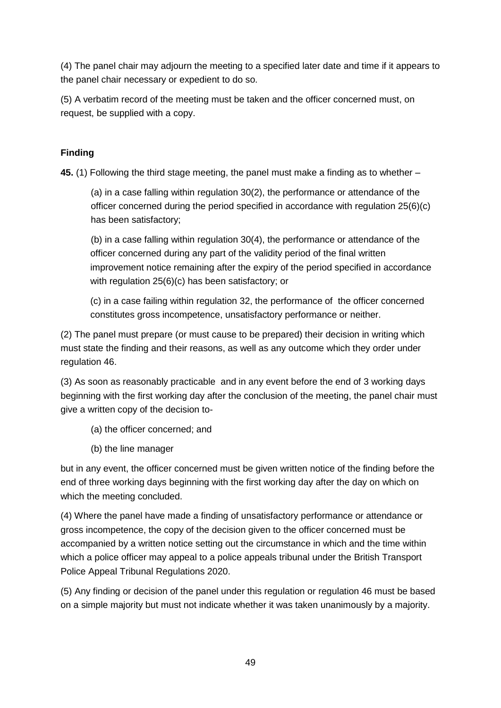(4) The panel chair may adjourn the meeting to a specified later date and time if it appears to the panel chair necessary or expedient to do so.

(5) A verbatim record of the meeting must be taken and the officer concerned must, on request, be supplied with a copy.

# **Finding**

**45.** (1) Following the third stage meeting, the panel must make a finding as to whether –

(a) in a case falling within regulation 30(2), the performance or attendance of the officer concerned during the period specified in accordance with regulation 25(6)(c) has been satisfactory;

(b) in a case falling within regulation 30(4), the performance or attendance of the officer concerned during any part of the validity period of the final written improvement notice remaining after the expiry of the period specified in accordance with regulation 25(6)(c) has been satisfactory; or

(c) in a case failing within regulation 32, the performance of the officer concerned constitutes gross incompetence, unsatisfactory performance or neither.

(2) The panel must prepare (or must cause to be prepared) their decision in writing which must state the finding and their reasons, as well as any outcome which they order under regulation 46.

(3) As soon as reasonably practicable and in any event before the end of 3 working days beginning with the first working day after the conclusion of the meeting, the panel chair must give a written copy of the decision to-

- (a) the officer concerned; and
- (b) the line manager

but in any event, the officer concerned must be given written notice of the finding before the end of three working days beginning with the first working day after the day on which on which the meeting concluded.

(4) Where the panel have made a finding of unsatisfactory performance or attendance or gross incompetence, the copy of the decision given to the officer concerned must be accompanied by a written notice setting out the circumstance in which and the time within which a police officer may appeal to a police appeals tribunal under the British Transport Police Appeal Tribunal Regulations 2020.

(5) Any finding or decision of the panel under this regulation or regulation 46 must be based on a simple majority but must not indicate whether it was taken unanimously by a majority.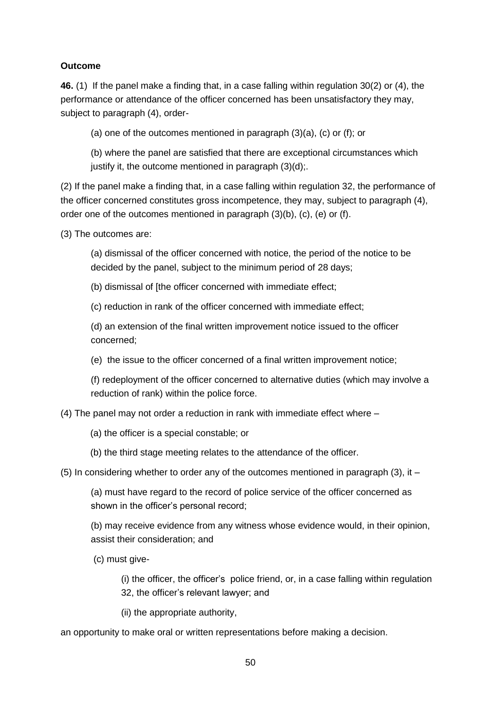#### **Outcome**

**46.** (1) If the panel make a finding that, in a case falling within regulation 30(2) or (4), the performance or attendance of the officer concerned has been unsatisfactory they may, subject to paragraph (4), order-

(a) one of the outcomes mentioned in paragraph (3)(a), (c) or (f); or

(b) where the panel are satisfied that there are exceptional circumstances which justify it, the outcome mentioned in paragraph  $(3)(d)$ ;.

(2) If the panel make a finding that, in a case falling within regulation 32, the performance of the officer concerned constitutes gross incompetence, they may, subject to paragraph (4), order one of the outcomes mentioned in paragraph (3)(b), (c), (e) or (f).

(3) The outcomes are:

(a) dismissal of the officer concerned with notice, the period of the notice to be decided by the panel, subject to the minimum period of 28 days;

(b) dismissal of [the officer concerned with immediate effect;

(c) reduction in rank of the officer concerned with immediate effect;

(d) an extension of the final written improvement notice issued to the officer concerned;

(e) the issue to the officer concerned of a final written improvement notice;

(f) redeployment of the officer concerned to alternative duties (which may involve a reduction of rank) within the police force.

(4) The panel may not order a reduction in rank with immediate effect where –

(a) the officer is a special constable; or

(b) the third stage meeting relates to the attendance of the officer.

(5) In considering whether to order any of the outcomes mentioned in paragraph (3), it –

(a) must have regard to the record of police service of the officer concerned as shown in the officer's personal record;

(b) may receive evidence from any witness whose evidence would, in their opinion, assist their consideration; and

(c) must give-

(i) the officer, the officer's police friend, or, in a case falling within regulation 32, the officer's relevant lawyer; and

(ii) the appropriate authority,

an opportunity to make oral or written representations before making a decision.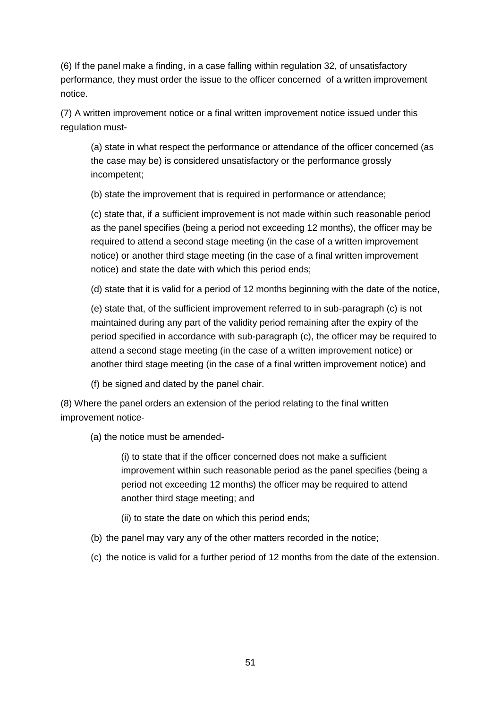(6) If the panel make a finding, in a case falling within regulation 32, of unsatisfactory performance, they must order the issue to the officer concerned of a written improvement notice.

(7) A written improvement notice or a final written improvement notice issued under this regulation must-

(a) state in what respect the performance or attendance of the officer concerned (as the case may be) is considered unsatisfactory or the performance grossly incompetent;

(b) state the improvement that is required in performance or attendance;

(c) state that, if a sufficient improvement is not made within such reasonable period as the panel specifies (being a period not exceeding 12 months), the officer may be required to attend a second stage meeting (in the case of a written improvement notice) or another third stage meeting (in the case of a final written improvement notice) and state the date with which this period ends;

(d) state that it is valid for a period of 12 months beginning with the date of the notice,

(e) state that, of the sufficient improvement referred to in sub-paragraph (c) is not maintained during any part of the validity period remaining after the expiry of the period specified in accordance with sub-paragraph (c), the officer may be required to attend a second stage meeting (in the case of a written improvement notice) or another third stage meeting (in the case of a final written improvement notice) and

(f) be signed and dated by the panel chair.

(8) Where the panel orders an extension of the period relating to the final written improvement notice-

(a) the notice must be amended-

(i) to state that if the officer concerned does not make a sufficient improvement within such reasonable period as the panel specifies (being a period not exceeding 12 months) the officer may be required to attend another third stage meeting; and

(ii) to state the date on which this period ends;

- (b) the panel may vary any of the other matters recorded in the notice;
- (c) the notice is valid for a further period of 12 months from the date of the extension.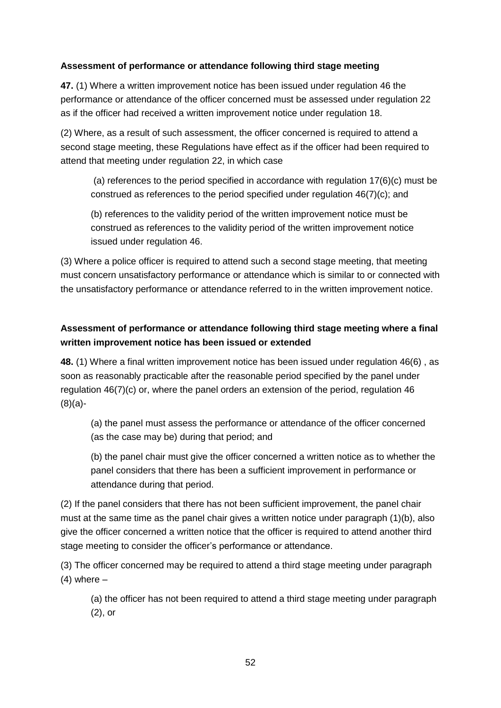### **Assessment of performance or attendance following third stage meeting**

**47.** (1) Where a written improvement notice has been issued under regulation 46 the performance or attendance of the officer concerned must be assessed under regulation 22 as if the officer had received a written improvement notice under regulation 18.

(2) Where, as a result of such assessment, the officer concerned is required to attend a second stage meeting, these Regulations have effect as if the officer had been required to attend that meeting under regulation 22, in which case

(a) references to the period specified in accordance with regulation 17(6)(c) must be construed as references to the period specified under regulation 46(7)(c); and

(b) references to the validity period of the written improvement notice must be construed as references to the validity period of the written improvement notice issued under regulation 46.

(3) Where a police officer is required to attend such a second stage meeting, that meeting must concern unsatisfactory performance or attendance which is similar to or connected with the unsatisfactory performance or attendance referred to in the written improvement notice.

# **Assessment of performance or attendance following third stage meeting where a final written improvement notice has been issued or extended**

**48.** (1) Where a final written improvement notice has been issued under regulation 46(6) , as soon as reasonably practicable after the reasonable period specified by the panel under regulation 46(7)(c) or, where the panel orders an extension of the period, regulation 46 (8)(a)-

(a) the panel must assess the performance or attendance of the officer concerned (as the case may be) during that period; and

(b) the panel chair must give the officer concerned a written notice as to whether the panel considers that there has been a sufficient improvement in performance or attendance during that period.

(2) If the panel considers that there has not been sufficient improvement, the panel chair must at the same time as the panel chair gives a written notice under paragraph (1)(b), also give the officer concerned a written notice that the officer is required to attend another third stage meeting to consider the officer's performance or attendance.

(3) The officer concerned may be required to attend a third stage meeting under paragraph  $(4)$  where  $-$ 

(a) the officer has not been required to attend a third stage meeting under paragraph (2), or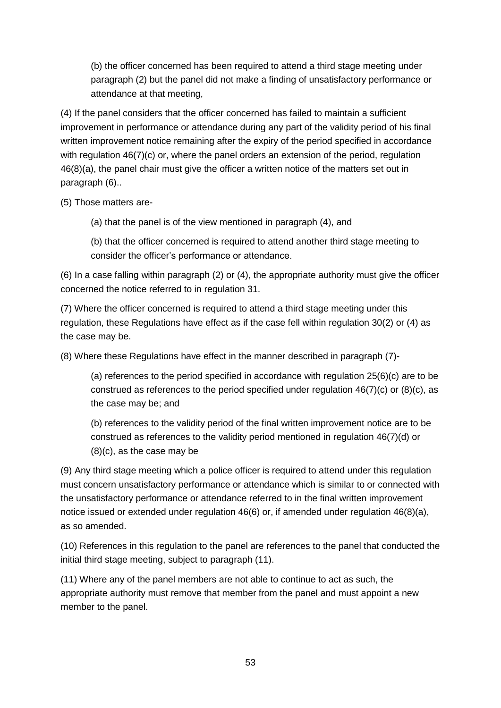(b) the officer concerned has been required to attend a third stage meeting under paragraph (2) but the panel did not make a finding of unsatisfactory performance or attendance at that meeting,

(4) If the panel considers that the officer concerned has failed to maintain a sufficient improvement in performance or attendance during any part of the validity period of his final written improvement notice remaining after the expiry of the period specified in accordance with regulation 46(7)(c) or, where the panel orders an extension of the period, regulation 46(8)(a), the panel chair must give the officer a written notice of the matters set out in paragraph (6)..

(5) Those matters are-

(a) that the panel is of the view mentioned in paragraph (4), and

(b) that the officer concerned is required to attend another third stage meeting to consider the officer's performance or attendance.

(6) In a case falling within paragraph (2) or (4), the appropriate authority must give the officer concerned the notice referred to in regulation 31.

(7) Where the officer concerned is required to attend a third stage meeting under this regulation, these Regulations have effect as if the case fell within regulation 30(2) or (4) as the case may be.

(8) Where these Regulations have effect in the manner described in paragraph (7)-

(a) references to the period specified in accordance with regulation 25(6)(c) are to be construed as references to the period specified under regulation  $46(7)(c)$  or  $(8)(c)$ , as the case may be; and

(b) references to the validity period of the final written improvement notice are to be construed as references to the validity period mentioned in regulation 46(7)(d) or (8)(c), as the case may be

(9) Any third stage meeting which a police officer is required to attend under this regulation must concern unsatisfactory performance or attendance which is similar to or connected with the unsatisfactory performance or attendance referred to in the final written improvement notice issued or extended under regulation 46(6) or, if amended under regulation 46(8)(a), as so amended.

(10) References in this regulation to the panel are references to the panel that conducted the initial third stage meeting, subject to paragraph (11).

(11) Where any of the panel members are not able to continue to act as such, the appropriate authority must remove that member from the panel and must appoint a new member to the panel.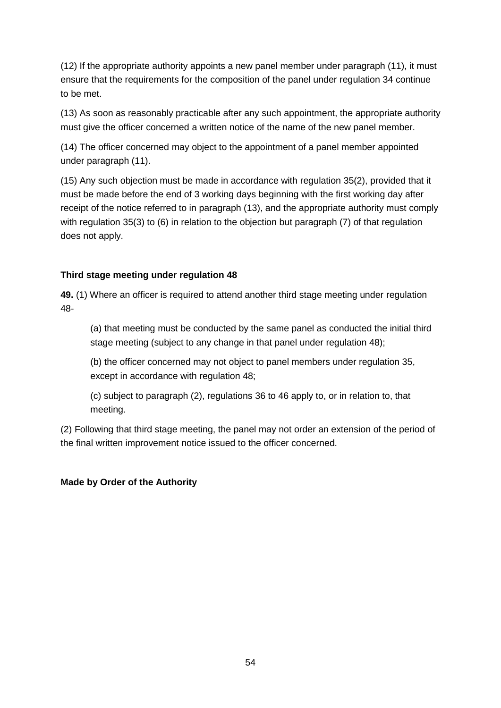(12) If the appropriate authority appoints a new panel member under paragraph (11), it must ensure that the requirements for the composition of the panel under regulation 34 continue to be met.

(13) As soon as reasonably practicable after any such appointment, the appropriate authority must give the officer concerned a written notice of the name of the new panel member.

(14) The officer concerned may object to the appointment of a panel member appointed under paragraph (11).

(15) Any such objection must be made in accordance with regulation 35(2), provided that it must be made before the end of 3 working days beginning with the first working day after receipt of the notice referred to in paragraph (13), and the appropriate authority must comply with regulation 35(3) to (6) in relation to the objection but paragraph (7) of that regulation does not apply.

## **Third stage meeting under regulation 48**

**49.** (1) Where an officer is required to attend another third stage meeting under regulation 48-

(a) that meeting must be conducted by the same panel as conducted the initial third stage meeting (subject to any change in that panel under regulation 48);

(b) the officer concerned may not object to panel members under regulation 35, except in accordance with regulation 48;

(c) subject to paragraph (2), regulations 36 to 46 apply to, or in relation to, that meeting.

(2) Following that third stage meeting, the panel may not order an extension of the period of the final written improvement notice issued to the officer concerned.

# **Made by Order of the Authority**